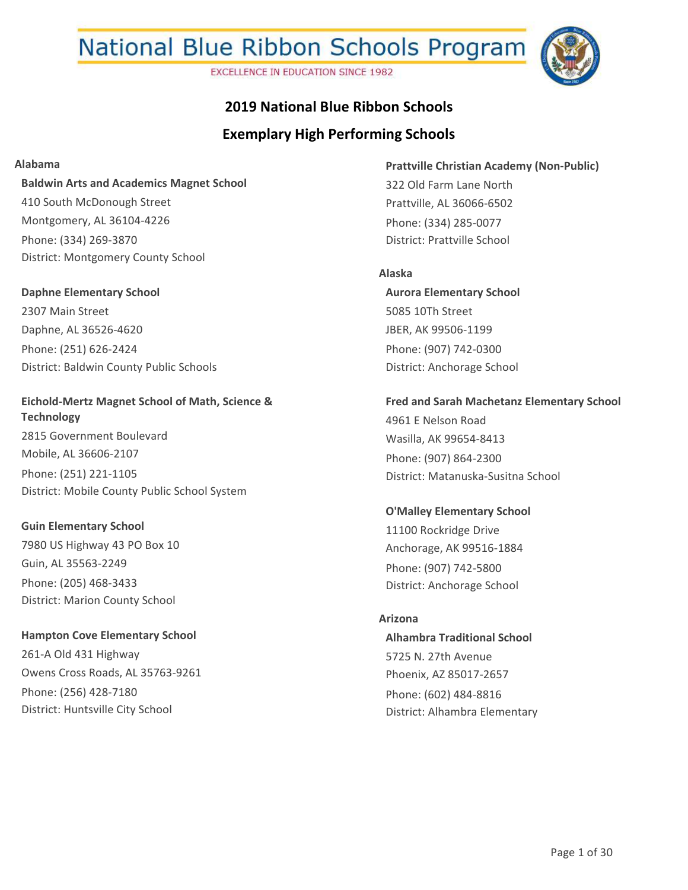**EXCELLENCE IN EDUCATION SINCE 1982** 



### **2019 National Blue Ribbon Schools**

### **Exemplary High Performing Schools**

#### **Alabama**

**Baldwin Arts and Academics Magnet School** 410 South McDonough Street Montgomery, AL 36104-4226 Phone: (334) 269-3870 District: Montgomery County School

**Daphne Elementary School** 2307 Main Street Daphne, AL 36526-4620 Phone: (251) 626-2424 District: Baldwin County Public Schools

#### **Eichold-Mertz Magnet School of Math, Science & Technology**

2815 Government Boulevard Mobile, AL 36606-2107 Phone: (251) 221-1105 District: Mobile County Public School System

#### **Guin Elementary School**

7980 US Highway 43 PO Box 10 Guin, AL 35563-2249 Phone: (205) 468-3433 District: Marion County School

**Hampton Cove Elementary School** 261-A Old 431 Highway Owens Cross Roads, AL 35763-9261 Phone: (256) 428-7180 District: Huntsville City School

**Prattville Christian Academy (Non-Public)** 322 Old Farm Lane North Prattville, AL 36066-6502 Phone: (334) 285-0077 District: Prattville School

#### **Alaska**

**Aurora Elementary School** 5085 10Th Street JBER, AK 99506-1199 Phone: (907) 742-0300 District: Anchorage School

**Fred and Sarah Machetanz Elementary School**

4961 E Nelson Road Wasilla, AK 99654-8413 Phone: (907) 864-2300 District: Matanuska-Susitna School

**O'Malley Elementary School** 11100 Rockridge Drive Anchorage, AK 99516-1884 Phone: (907) 742-5800 District: Anchorage School

#### **Arizona**

**Alhambra Traditional School** 5725 N. 27th Avenue Phoenix, AZ 85017-2657 Phone: (602) 484-8816 District: Alhambra Elementary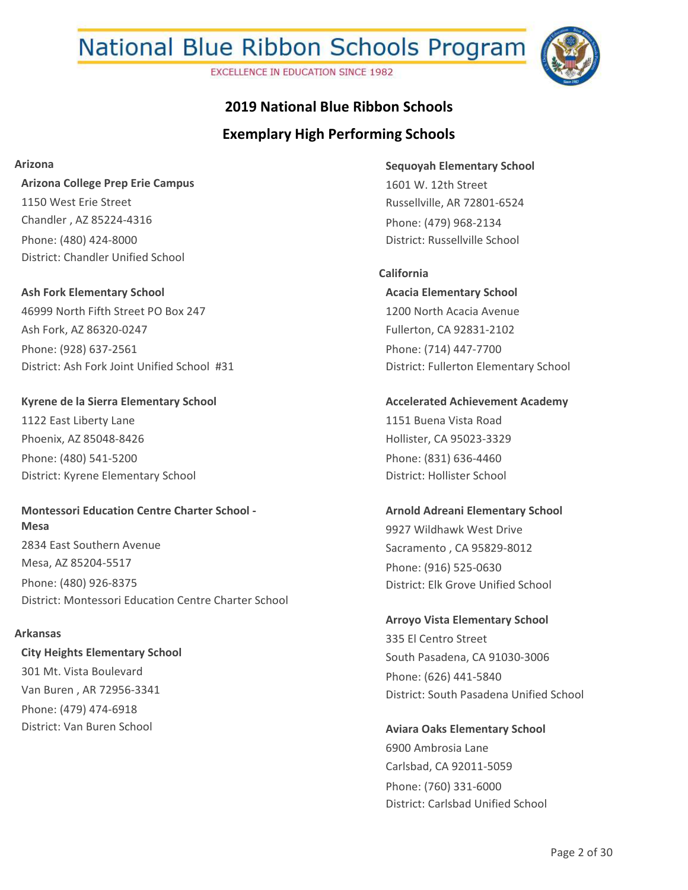**EXCELLENCE IN EDUCATION SINCE 1982** 



## **Exemplary High Performing Schools 2019 National Blue Ribbon Schools**

#### **Arizona**

**Arizona College Prep Erie Campus** 1150 West Erie Street Chandler , AZ 85224-4316 Phone: (480) 424-8000 District: Chandler Unified School

**Ash Fork Elementary School** 46999 North Fifth Street PO Box 247 Ash Fork, AZ 86320-0247 Phone: (928) 637-2561 District: Ash Fork Joint Unified School #31

**Kyrene de la Sierra Elementary School** 1122 East Liberty Lane Phoenix, AZ 85048-8426 Phone: (480) 541-5200 District: Kyrene Elementary School

**Montessori Education Centre Charter School - Mesa** 2834 East Southern Avenue Mesa, AZ 85204-5517 Phone: (480) 926-8375 District: Montessori Education Centre Charter School

#### **Arkansas**

**City Heights Elementary School** 301 Mt. Vista Boulevard Van Buren , AR 72956-3341 Phone: (479) 474-6918 District: Van Buren School

**Sequoyah Elementary School** 1601 W. 12th Street Russellville, AR 72801-6524 Phone: (479) 968-2134 District: Russellville School

**Acacia Elementary School** 1200 North Acacia Avenue Fullerton, CA 92831-2102 Phone: (714) 447-7700 District: Fullerton Elementary School **California**

**Accelerated Achievement Academy** 1151 Buena Vista Road Hollister, CA 95023-3329 Phone: (831) 636-4460 District: Hollister School

**Arnold Adreani Elementary School** 9927 Wildhawk West Drive Sacramento , CA 95829-8012 Phone: (916) 525-0630 District: Elk Grove Unified School

**Arroyo Vista Elementary School** 335 El Centro Street South Pasadena, CA 91030-3006 Phone: (626) 441-5840 District: South Pasadena Unified School

**Aviara Oaks Elementary School** 6900 Ambrosia Lane Carlsbad, CA 92011-5059 Phone: (760) 331-6000 District: Carlsbad Unified School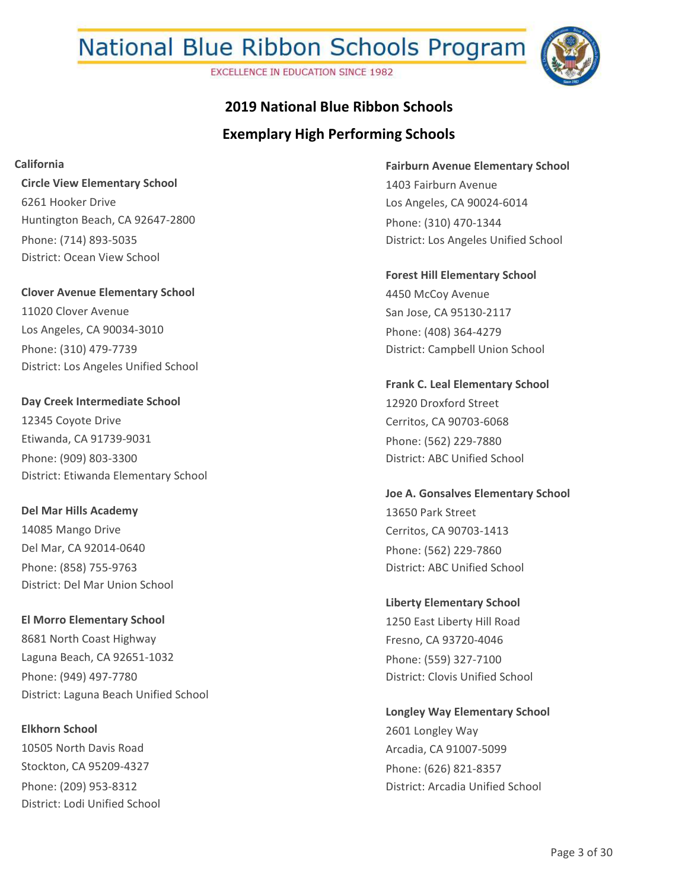**EXCELLENCE IN EDUCATION SINCE 1982** 



## **Exemplary High Performing Schools 2019 National Blue Ribbon Schools**

**California**

**Circle View Elementary School** 6261 Hooker Drive Huntington Beach, CA 92647-2800 Phone: (714) 893-5035 District: Ocean View School

**Clover Avenue Elementary School** 11020 Clover Avenue Los Angeles, CA 90034-3010 Phone: (310) 479-7739 District: Los Angeles Unified School

**Day Creek Intermediate School** 12345 Coyote Drive Etiwanda, CA 91739-9031 Phone: (909) 803-3300 District: Etiwanda Elementary School

**Del Mar Hills Academy** 14085 Mango Drive Del Mar, CA 92014-0640 Phone: (858) 755-9763 District: Del Mar Union School

**El Morro Elementary School** 8681 North Coast Highway Laguna Beach, CA 92651-1032 Phone: (949) 497-7780 District: Laguna Beach Unified School

**Elkhorn School** 10505 North Davis Road Stockton, CA 95209-4327 Phone: (209) 953-8312 District: Lodi Unified School **Fairburn Avenue Elementary School** 1403 Fairburn Avenue Los Angeles, CA 90024-6014 Phone: (310) 470-1344 District: Los Angeles Unified School

**Forest Hill Elementary School** 4450 McCoy Avenue San Jose, CA 95130-2117 Phone: (408) 364-4279 District: Campbell Union School

**Frank C. Leal Elementary School** 12920 Droxford Street Cerritos, CA 90703-6068 Phone: (562) 229-7880 District: ABC Unified School

**Joe A. Gonsalves Elementary School** 13650 Park Street Cerritos, CA 90703-1413 Phone: (562) 229-7860 District: ABC Unified School

**Liberty Elementary School** 1250 East Liberty Hill Road Fresno, CA 93720-4046 Phone: (559) 327-7100 District: Clovis Unified School

**Longley Way Elementary School** 2601 Longley Way Arcadia, CA 91007-5099 Phone: (626) 821-8357 District: Arcadia Unified School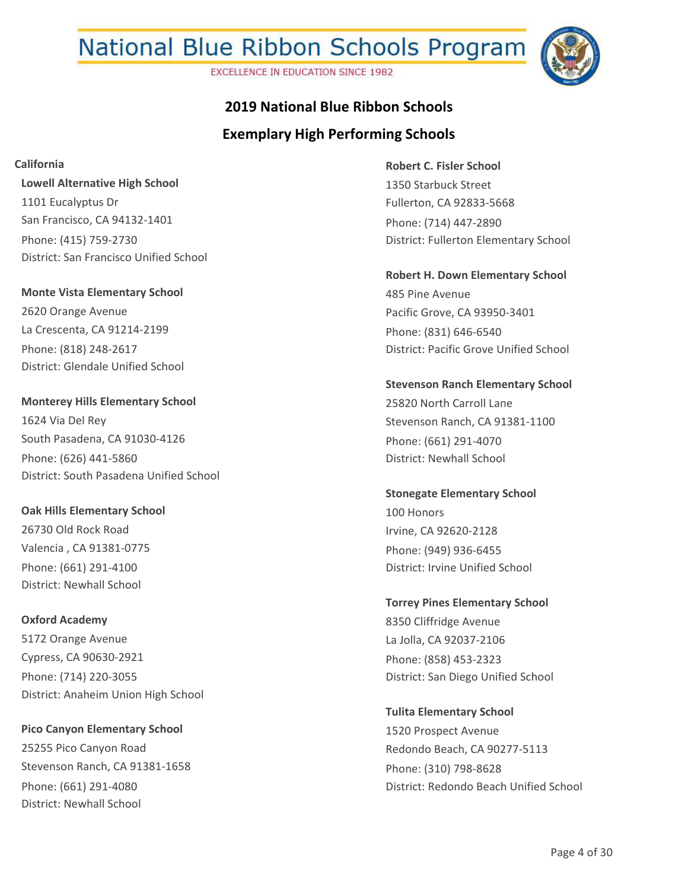**EXCELLENCE IN EDUCATION SINCE 1982** 



## **Exemplary High Performing Schools 2019 National Blue Ribbon Schools**

**California**

**Lowell Alternative High School** 1101 Eucalyptus Dr San Francisco, CA 94132-1401 Phone: (415) 759-2730 District: San Francisco Unified School

**Monte Vista Elementary School** 2620 Orange Avenue La Crescenta, CA 91214-2199 Phone: (818) 248-2617 District: Glendale Unified School

**Monterey Hills Elementary School** 1624 Via Del Rey South Pasadena, CA 91030-4126 Phone: (626) 441-5860 District: South Pasadena Unified School

**Oak Hills Elementary School** 26730 Old Rock Road Valencia , CA 91381-0775 Phone: (661) 291-4100 District: Newhall School

**Oxford Academy** 5172 Orange Avenue Cypress, CA 90630-2921 Phone: (714) 220-3055 District: Anaheim Union High School

**Pico Canyon Elementary School** 25255 Pico Canyon Road Stevenson Ranch, CA 91381-1658 Phone: (661) 291-4080 District: Newhall School

**Robert C. Fisler School** 1350 Starbuck Street Fullerton, CA 92833-5668 Phone: (714) 447-2890 District: Fullerton Elementary School

**Robert H. Down Elementary School** 485 Pine Avenue Pacific Grove, CA 93950-3401 Phone: (831) 646-6540 District: Pacific Grove Unified School

**Stevenson Ranch Elementary School** 25820 North Carroll Lane Stevenson Ranch, CA 91381-1100 Phone: (661) 291-4070 District: Newhall School

**Stonegate Elementary School** 100 Honors Irvine, CA 92620-2128 Phone: (949) 936-6455 District: Irvine Unified School

**Torrey Pines Elementary School** 8350 Cliffridge Avenue La Jolla, CA 92037-2106 Phone: (858) 453-2323 District: San Diego Unified School

**Tulita Elementary School** 1520 Prospect Avenue Redondo Beach, CA 90277-5113 Phone: (310) 798-8628 District: Redondo Beach Unified School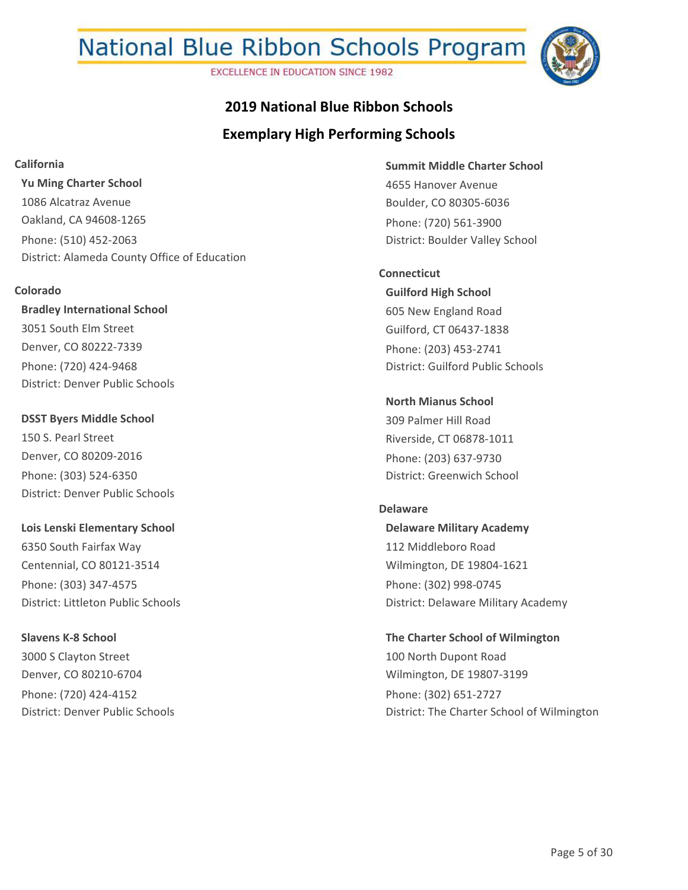**EXCELLENCE IN EDUCATION SINCE 1982** 



## **Exemplary High Performing Schools 2019 National Blue Ribbon Schools**

**California**

**Yu Ming Charter School** 1086 Alcatraz Avenue Oakland, CA 94608-1265 Phone: (510) 452-2063 District: Alameda County Office of Education

#### **Colorado**

**Bradley International School** 3051 South Elm Street Denver, CO 80222-7339 Phone: (720) 424-9468 District: Denver Public Schools

**DSST Byers Middle School** 150 S. Pearl Street Denver, CO 80209-2016 Phone: (303) 524-6350 District: Denver Public Schools

**Lois Lenski Elementary School** 6350 South Fairfax Way Centennial, CO 80121-3514 Phone: (303) 347-4575 District: Littleton Public Schools

**Slavens K-8 School** 3000 S Clayton Street Denver, CO 80210-6704 Phone: (720) 424-4152 District: Denver Public Schools **Summit Middle Charter School** 4655 Hanover Avenue Boulder, CO 80305-6036 Phone: (720) 561-3900 District: Boulder Valley School

**Guilford High School** 605 New England Road Guilford, CT 06437-1838 Phone: (203) 453-2741 District: Guilford Public Schools **Connecticut**

**North Mianus School** 309 Palmer Hill Road Riverside, CT 06878-1011 Phone: (203) 637-9730 District: Greenwich School

## **Delaware**

**Delaware Military Academy** 112 Middleboro Road Wilmington, DE 19804-1621 Phone: (302) 998-0745 District: Delaware Military Academy

**The Charter School of Wilmington** 100 North Dupont Road Wilmington, DE 19807-3199 Phone: (302) 651-2727 District: The Charter School of Wilmington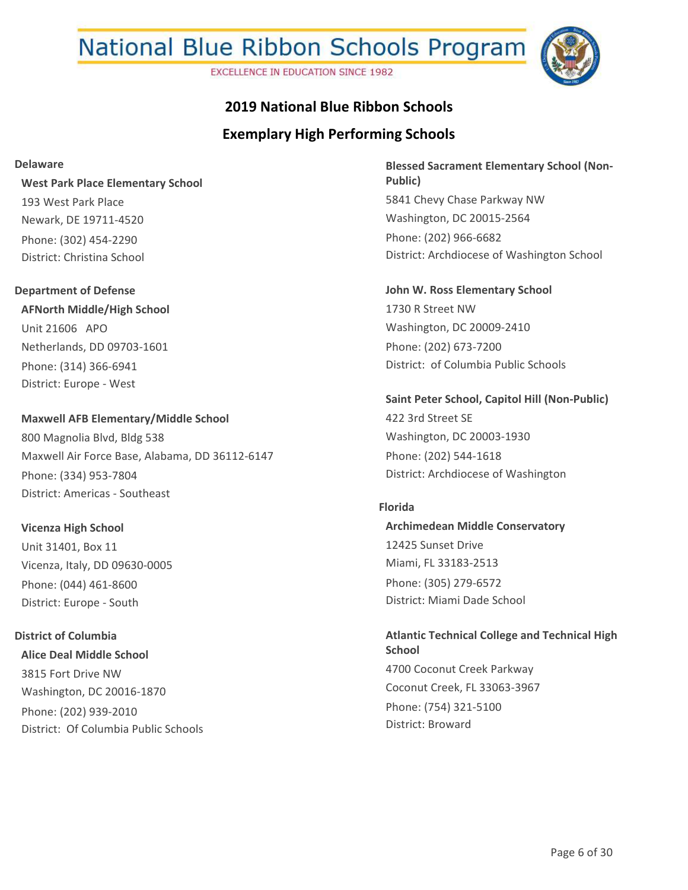**EXCELLENCE IN EDUCATION SINCE 1982** 



### **2019 National Blue Ribbon Schools**

### **Exemplary High Performing Schools**

#### **Delaware**

**West Park Place Elementary School** 193 West Park Place Newark, DE 19711-4520 Phone: (302) 454-2290 District: Christina School

## **AFNorth Middle/High School** Unit 21606 APO Netherlands, DD 09703-1601 Phone: (314) 366-6941 **Department of Defense**

District: Europe - West

### **Maxwell AFB Elementary/Middle School** 800 Magnolia Blvd, Bldg 538 Maxwell Air Force Base, Alabama, DD 36112-6147 Phone: (334) 953-7804

# District: Americas - Southeast

**Vicenza High School** Unit 31401, Box 11 Vicenza, Italy, DD 09630-0005 Phone: (044) 461-8600 District: Europe - South

### **Alice Deal Middle School** 3815 Fort Drive NW Washington, DC 20016-1870 Phone: (202) 939-2010 District: Of Columbia Public Schools **District of Columbia**

**Blessed Sacrament Elementary School (Non-Public)** 5841 Chevy Chase Parkway NW Washington, DC 20015-2564 Phone: (202) 966-6682 District: Archdiocese of Washington School

**John W. Ross Elementary School** 1730 R Street NW Washington, DC 20009-2410 Phone: (202) 673-7200 District: of Columbia Public Schools

#### **Saint Peter School, Capitol Hill (Non-Public)**

422 3rd Street SE Washington, DC 20003-1930 Phone: (202) 544-1618 District: Archdiocese of Washington

#### **Florida**

**Archimedean Middle Conservatory** 12425 Sunset Drive Miami, FL 33183-2513 Phone: (305) 279-6572 District: Miami Dade School

**Atlantic Technical College and Technical High School** 4700 Coconut Creek Parkway Coconut Creek, FL 33063-3967 Phone: (754) 321-5100 District: Broward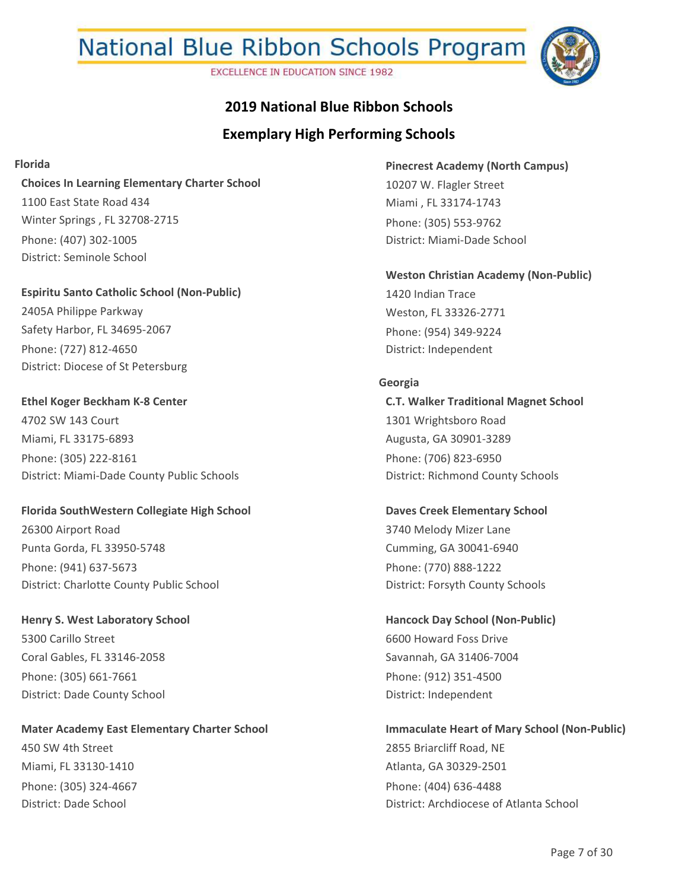**EXCELLENCE IN EDUCATION SINCE 1982** 



## **2019 National Blue Ribbon Schools**

### **Exemplary High Performing Schools**

#### **Florida**

#### **Choices In Learning Elementary Charter School**

1100 East State Road 434 Winter Springs , FL 32708-2715 Phone: (407) 302-1005 District: Seminole School

#### **Espiritu Santo Catholic School (Non-Public)**

2405A Philippe Parkway Safety Harbor, FL 34695-2067 Phone: (727) 812-4650 District: Diocese of St Petersburg

### **Ethel Koger Beckham K-8 Center** 4702 SW 143 Court Miami, FL 33175-6893 Phone: (305) 222-8161 District: Miami-Dade County Public Schools

#### **Florida SouthWestern Collegiate High School**

26300 Airport Road Punta Gorda, FL 33950-5748 Phone: (941) 637-5673 District: Charlotte County Public School

### **Henry S. West Laboratory School** 5300 Carillo Street Coral Gables, FL 33146-2058 Phone: (305) 661-7661 District: Dade County School

### **Mater Academy East Elementary Charter School**

450 SW 4th Street Miami, FL 33130-1410 Phone: (305) 324-4667 District: Dade School

**Pinecrest Academy (North Campus)** 10207 W. Flagler Street Miami , FL 33174-1743 Phone: (305) 553-9762 District: Miami-Dade School

## **Weston Christian Academy (Non-Public)**

1420 Indian Trace Weston, FL 33326-2771 Phone: (954) 349-9224 District: Independent

#### **Georgia**

**C.T. Walker Traditional Magnet School** 1301 Wrightsboro Road Augusta, GA 30901-3289 Phone: (706) 823-6950 District: Richmond County Schools

#### **Daves Creek Elementary School** 3740 Melody Mizer Lane

Cumming, GA 30041-6940 Phone: (770) 888-1222 District: Forsyth County Schools

### **Hancock Day School (Non-Public)** 6600 Howard Foss Drive Savannah, GA 31406-7004 Phone: (912) 351-4500 District: Independent

## **Immaculate Heart of Mary School (Non-Public)** 2855 Briarcliff Road, NE Atlanta, GA 30329-2501 Phone: (404) 636-4488 District: Archdiocese of Atlanta School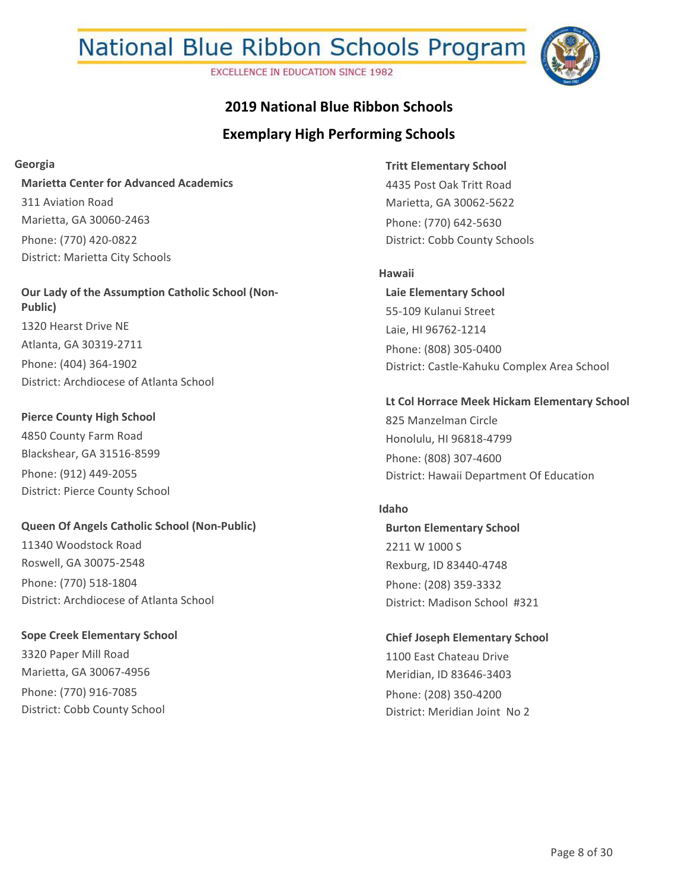**EXCELLENCE IN EDUCATION SINCE 1982** 



### **2019 National Blue Ribbon Schools**

### **Exemplary High Performing Schools**

#### **Georgia**

**Marietta Center for Advanced Academics** 311 Aviation Road Marietta, GA 30060-2463 Phone: (770) 420-0822 District: Marietta City Schools

**Our Lady of the Assumption Catholic School (Non-Public)** 1320 Hearst Drive NE Atlanta, GA 30319-2711 Phone: (404) 364-1902 District: Archdiocese of Atlanta School

**Pierce County High School** 4850 County Farm Road Blackshear, GA 31516-8599 Phone: (912) 449-2055 District: Pierce County School

### **Queen Of Angels Catholic School (Non-Public)** 11340 Woodstock Road

Roswell, GA 30075-2548 Phone: (770) 518-1804 District: Archdiocese of Atlanta School

**Sope Creek Elementary School** 3320 Paper Mill Road Marietta, GA 30067-4956 Phone: (770) 916-7085 District: Cobb County School

**Tritt Elementary School** 4435 Post Oak Tritt Road Marietta, GA 30062-5622 Phone: (770) 642-5630 District: Cobb County Schools

#### **Hawaii**

**Laie Elementary School** 55-109 Kulanui Street Laie, HI 96762-1214 Phone: (808) 305-0400 District: Castle-Kahuku Complex Area School

#### **Lt Col Horrace Meek Hickam Elementary School**

825 Manzelman Circle Honolulu, HI 96818-4799 Phone: (808) 307-4600 District: Hawaii Department Of Education

#### **Idaho**

**Burton Elementary School** 2211 W 1000 S Rexburg, ID 83440-4748 Phone: (208) 359-3332 District: Madison School #321

**Chief Joseph Elementary School** 1100 East Chateau Drive Meridian, ID 83646-3403 Phone: (208) 350-4200 District: Meridian Joint No 2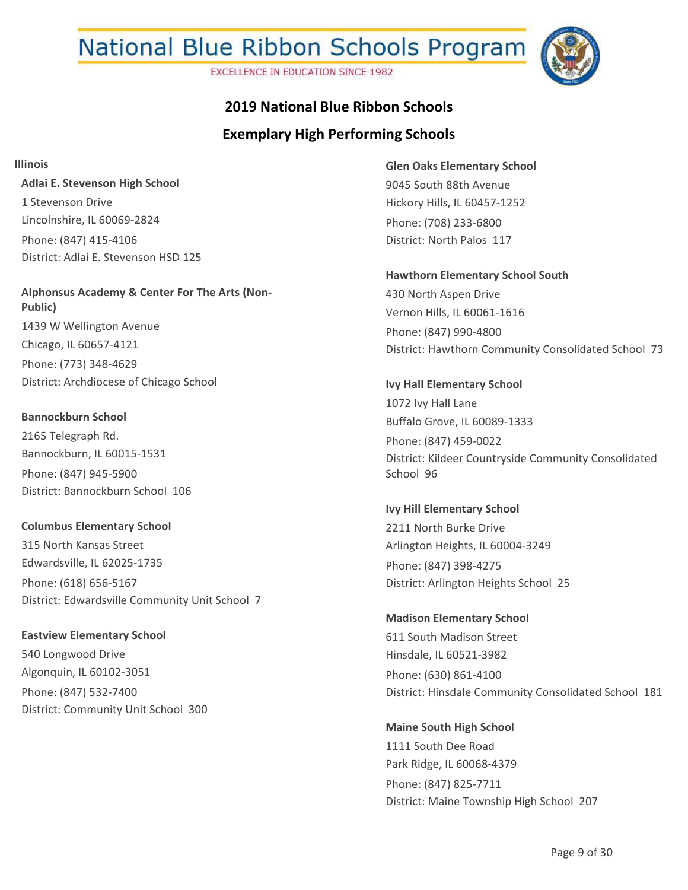**EXCELLENCE IN EDUCATION SINCE 1982** 



## **2019 National Blue Ribbon Schools**

### **Exemplary High Performing Schools**

**Illinois**

**Adlai E. Stevenson High School** 1 Stevenson Drive Lincolnshire, IL 60069-2824 Phone: (847) 415-4106 District: Adlai E. Stevenson HSD 125

**Alphonsus Academy & Center For The Arts (Non-Public)** 1439 W Wellington Avenue Chicago, IL 60657-4121 Phone: (773) 348-4629 District: Archdiocese of Chicago School

**Bannockburn School** 2165 Telegraph Rd. Bannockburn, IL 60015-1531 Phone: (847) 945-5900 District: Bannockburn School 106

**Columbus Elementary School** 315 North Kansas Street Edwardsville, IL 62025-1735 Phone: (618) 656-5167 District: Edwardsville Community Unit School 7

**Eastview Elementary School** 540 Longwood Drive Algonquin, IL 60102-3051 Phone: (847) 532-7400 District: Community Unit School 300 **Glen Oaks Elementary School** 9045 South 88th Avenue Hickory Hills, IL 60457-1252 Phone: (708) 233-6800 District: North Palos 117

**Hawthorn Elementary School South** 430 North Aspen Drive Vernon Hills, IL 60061-1616 Phone: (847) 990-4800 District: Hawthorn Community Consolidated School 73

**Ivy Hall Elementary School** 1072 Ivy Hall Lane Buffalo Grove, IL 60089-1333 Phone: (847) 459-0022 District: Kildeer Countryside Community Consolidated School 96

**Ivy Hill Elementary School** 2211 North Burke Drive Arlington Heights, IL 60004-3249 Phone: (847) 398-4275 District: Arlington Heights School 25

**Madison Elementary School** 611 South Madison Street Hinsdale, IL 60521-3982 Phone: (630) 861-4100 District: Hinsdale Community Consolidated School 181

**Maine South High School** 1111 South Dee Road Park Ridge, IL 60068-4379 Phone: (847) 825-7711 District: Maine Township High School 207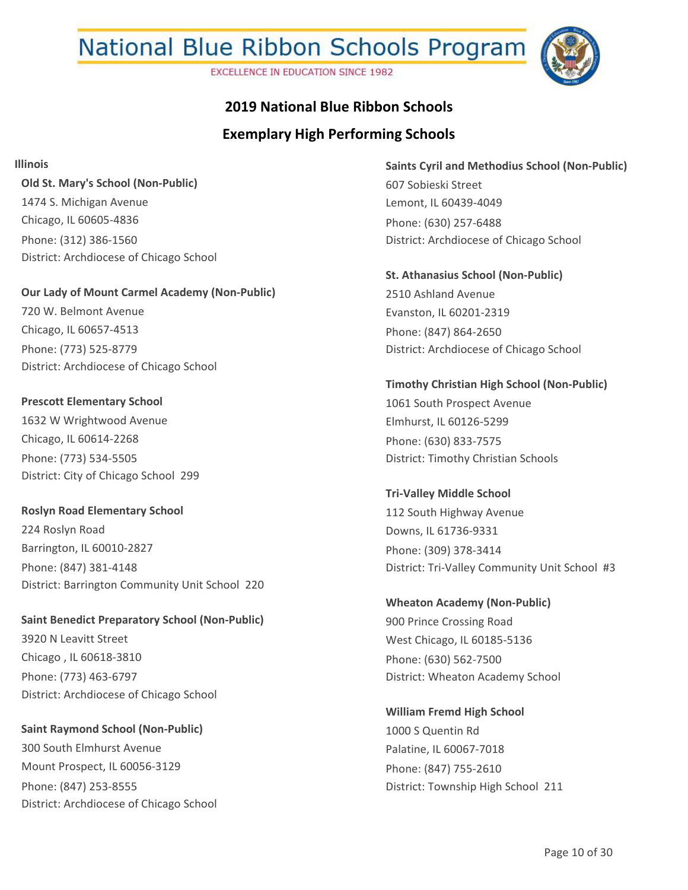**EXCELLENCE IN EDUCATION SINCE 1982** 



## **2019 National Blue Ribbon Schools**

### **Exemplary High Performing Schools**

**Illinois**

**Old St. Mary's School (Non-Public)** 1474 S. Michigan Avenue Chicago, IL 60605-4836 Phone: (312) 386-1560 District: Archdiocese of Chicago School

**Our Lady of Mount Carmel Academy (Non-Public)** 720 W. Belmont Avenue Chicago, IL 60657-4513 Phone: (773) 525-8779 District: Archdiocese of Chicago School

**Prescott Elementary School** 1632 W Wrightwood Avenue Chicago, IL 60614-2268 Phone: (773) 534-5505 District: City of Chicago School 299

**Roslyn Road Elementary School** 224 Roslyn Road Barrington, IL 60010-2827 Phone: (847) 381-4148 District: Barrington Community Unit School 220

**Saint Benedict Preparatory School (Non-Public)** 3920 N Leavitt Street Chicago , IL 60618-3810 Phone: (773) 463-6797 District: Archdiocese of Chicago School

**Saint Raymond School (Non-Public)** 300 South Elmhurst Avenue Mount Prospect, IL 60056-3129 Phone: (847) 253-8555 District: Archdiocese of Chicago School **Saints Cyril and Methodius School (Non-Public)** 607 Sobieski Street Lemont, IL 60439-4049 Phone: (630) 257-6488 District: Archdiocese of Chicago School

**St. Athanasius School (Non-Public)** 2510 Ashland Avenue Evanston, IL 60201-2319 Phone: (847) 864-2650 District: Archdiocese of Chicago School

**Timothy Christian High School (Non-Public)** 1061 South Prospect Avenue Elmhurst, IL 60126-5299 Phone: (630) 833-7575 District: Timothy Christian Schools

**Tri-Valley Middle School** 112 South Highway Avenue Downs, IL 61736-9331 Phone: (309) 378-3414 District: Tri-Valley Community Unit School #3

**Wheaton Academy (Non-Public)** 900 Prince Crossing Road West Chicago, IL 60185-5136 Phone: (630) 562-7500 District: Wheaton Academy School

**William Fremd High School** 1000 S Quentin Rd Palatine, IL 60067-7018 Phone: (847) 755-2610 District: Township High School 211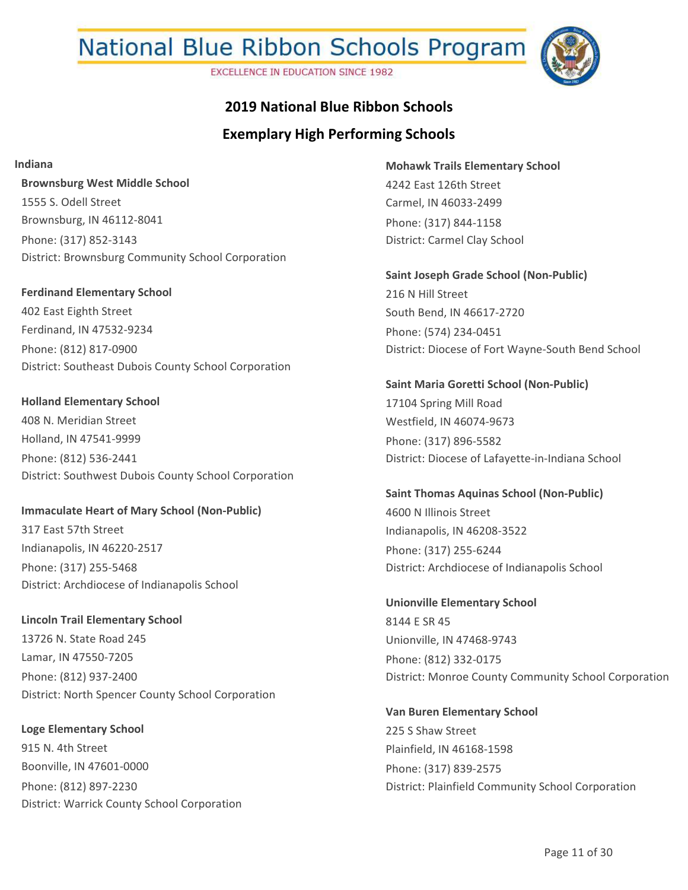**EXCELLENCE IN EDUCATION SINCE 1982** 



## **2019 National Blue Ribbon Schools**

### **Exemplary High Performing Schools**

**Indiana**

**Brownsburg West Middle School** 1555 S. Odell Street Brownsburg, IN 46112-8041 Phone: (317) 852-3143 District: Brownsburg Community School Corporation

**Ferdinand Elementary School** 402 East Eighth Street Ferdinand, IN 47532-9234 Phone: (812) 817-0900 District: Southeast Dubois County School Corporation

**Holland Elementary School** 408 N. Meridian Street Holland, IN 47541-9999 Phone: (812) 536-2441 District: Southwest Dubois County School Corporation

**Immaculate Heart of Mary School (Non-Public)** 317 East 57th Street Indianapolis, IN 46220-2517 Phone: (317) 255-5468 District: Archdiocese of Indianapolis School

**Lincoln Trail Elementary School** 13726 N. State Road 245 Lamar, IN 47550-7205 Phone: (812) 937-2400 District: North Spencer County School Corporation

**Loge Elementary School** 915 N. 4th Street Boonville, IN 47601-0000 Phone: (812) 897-2230 District: Warrick County School Corporation **Mohawk Trails Elementary School** 4242 East 126th Street Carmel, IN 46033-2499 Phone: (317) 844-1158 District: Carmel Clay School

**Saint Joseph Grade School (Non-Public)** 216 N Hill Street South Bend, IN 46617-2720 Phone: (574) 234-0451 District: Diocese of Fort Wayne-South Bend School

**Saint Maria Goretti School (Non-Public)** 17104 Spring Mill Road Westfield, IN 46074-9673 Phone: (317) 896-5582 District: Diocese of Lafayette-in-Indiana School

**Saint Thomas Aquinas School (Non-Public)** 4600 N Illinois Street Indianapolis, IN 46208-3522 Phone: (317) 255-6244 District: Archdiocese of Indianapolis School

**Unionville Elementary School** 8144 E SR 45 Unionville, IN 47468-9743 Phone: (812) 332-0175 District: Monroe County Community School Corporation

**Van Buren Elementary School** 225 S Shaw Street Plainfield, IN 46168-1598 Phone: (317) 839-2575 District: Plainfield Community School Corporation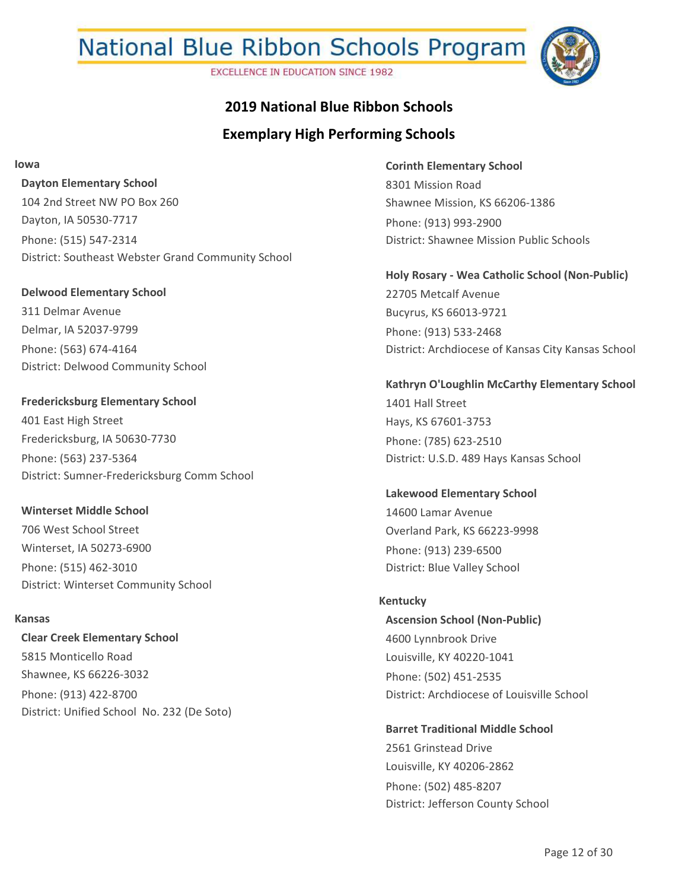**EXCELLENCE IN EDUCATION SINCE 1982** 



### **2019 National Blue Ribbon Schools**

## **Exemplary High Performing Schools**

**Iowa**

**Dayton Elementary School** 104 2nd Street NW PO Box 260 Dayton, IA 50530-7717 Phone: (515) 547-2314 District: Southeast Webster Grand Community School

**Delwood Elementary School** 311 Delmar Avenue

Delmar, IA 52037-9799 Phone: (563) 674-4164 District: Delwood Community School

**Fredericksburg Elementary School** 401 East High Street Fredericksburg, IA 50630-7730 Phone: (563) 237-5364 District: Sumner-Fredericksburg Comm School

**Winterset Middle School** 706 West School Street Winterset, IA 50273-6900 Phone: (515) 462-3010 District: Winterset Community School

#### **Kansas**

**Clear Creek Elementary School** 5815 Monticello Road Shawnee, KS 66226-3032 Phone: (913) 422-8700 District: Unified School No. 232 (De Soto) **Corinth Elementary School** 8301 Mission Road Shawnee Mission, KS 66206-1386 Phone: (913) 993-2900 District: Shawnee Mission Public Schools

**Holy Rosary - Wea Catholic School (Non-Public)** 22705 Metcalf Avenue Bucyrus, KS 66013-9721 Phone: (913) 533-2468 District: Archdiocese of Kansas City Kansas School

**Kathryn O'Loughlin McCarthy Elementary School** 1401 Hall Street Hays, KS 67601-3753 Phone: (785) 623-2510 District: U.S.D. 489 Hays Kansas School

**Lakewood Elementary School** 14600 Lamar Avenue Overland Park, KS 66223-9998 Phone: (913) 239-6500 District: Blue Valley School

**Ascension School (Non-Public)** 4600 Lynnbrook Drive Louisville, KY 40220-1041 Phone: (502) 451-2535 District: Archdiocese of Louisville School **Kentucky**

**Barret Traditional Middle School** 2561 Grinstead Drive Louisville, KY 40206-2862 Phone: (502) 485-8207 District: Jefferson County School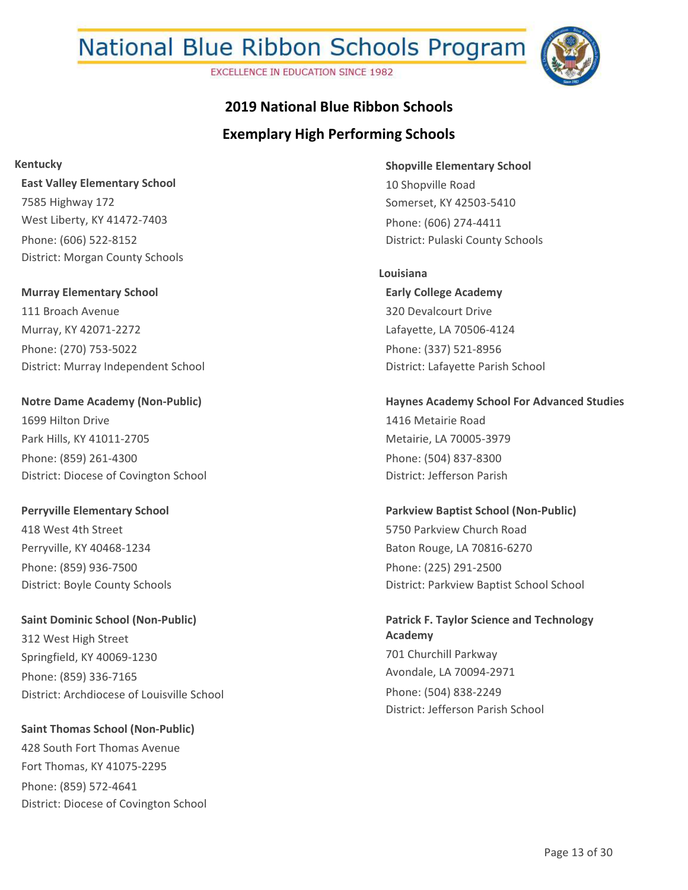**EXCELLENCE IN EDUCATION SINCE 1982** 



## **Exemplary High Performing Schools 2019 National Blue Ribbon Schools**

**Kentucky**

**East Valley Elementary School** 7585 Highway 172 West Liberty, KY 41472-7403 Phone: (606) 522-8152 District: Morgan County Schools

**Murray Elementary School** 111 Broach Avenue Murray, KY 42071-2272 Phone: (270) 753-5022 District: Murray Independent School

**Notre Dame Academy (Non-Public)** 1699 Hilton Drive Park Hills, KY 41011-2705 Phone: (859) 261-4300 District: Diocese of Covington School

**Perryville Elementary School** 418 West 4th Street Perryville, KY 40468-1234 Phone: (859) 936-7500 District: Boyle County Schools

**Saint Dominic School (Non-Public)** 312 West High Street Springfield, KY 40069-1230 Phone: (859) 336-7165 District: Archdiocese of Louisville School

**Saint Thomas School (Non-Public)** 428 South Fort Thomas Avenue Fort Thomas, KY 41075-2295 Phone: (859) 572-4641 District: Diocese of Covington School **Shopville Elementary School** 10 Shopville Road Somerset, KY 42503-5410 Phone: (606) 274-4411 District: Pulaski County Schools

**Early College Academy** 320 Devalcourt Drive Lafayette, LA 70506-4124 Phone: (337) 521-8956 District: Lafayette Parish School **Louisiana**

**Haynes Academy School For Advanced Studies** 1416 Metairie Road Metairie, LA 70005-3979 Phone: (504) 837-8300 District: Jefferson Parish

**Parkview Baptist School (Non-Public)** 5750 Parkview Church Road Baton Rouge, LA 70816-6270 Phone: (225) 291-2500 District: Parkview Baptist School School

**Patrick F. Taylor Science and Technology Academy** 701 Churchill Parkway Avondale, LA 70094-2971 Phone: (504) 838-2249 District: Jefferson Parish School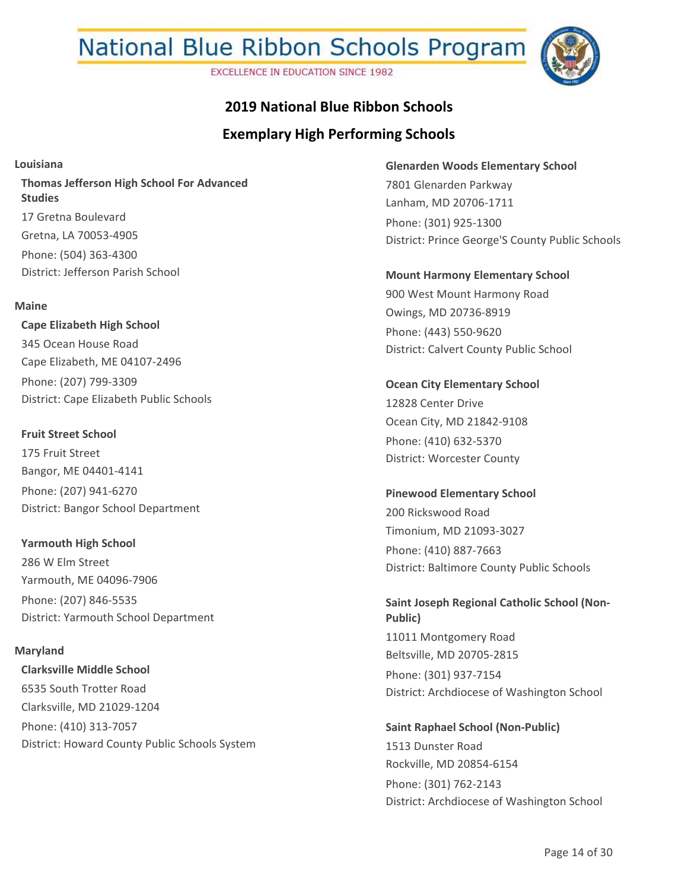**EXCELLENCE IN EDUCATION SINCE 1982** 



## **Exemplary High Performing Schools 2019 National Blue Ribbon Schools**

**Louisiana**

**Thomas Jefferson High School For Advanced Studies** 17 Gretna Boulevard Gretna, LA 70053-4905 Phone: (504) 363-4300 District: Jefferson Parish School

#### **Maine**

**Cape Elizabeth High School** 345 Ocean House Road Cape Elizabeth, ME 04107-2496 Phone: (207) 799-3309 District: Cape Elizabeth Public Schools

**Fruit Street School** 175 Fruit Street Bangor, ME 04401-4141 Phone: (207) 941-6270 District: Bangor School Department

**Yarmouth High School** 286 W Elm Street Yarmouth, ME 04096-7906 Phone: (207) 846-5535 District: Yarmouth School Department

**Clarksville Middle School** 6535 South Trotter Road Clarksville, MD 21029-1204 Phone: (410) 313-7057 District: Howard County Public Schools System **Maryland**

**Glenarden Woods Elementary School** 7801 Glenarden Parkway Lanham, MD 20706-1711 Phone: (301) 925-1300 District: Prince George'S County Public Schools

**Mount Harmony Elementary School** 900 West Mount Harmony Road Owings, MD 20736-8919 Phone: (443) 550-9620 District: Calvert County Public School

**Ocean City Elementary School** 12828 Center Drive Ocean City, MD 21842-9108 Phone: (410) 632-5370 District: Worcester County

**Pinewood Elementary School** 200 Rickswood Road Timonium, MD 21093-3027 Phone: (410) 887-7663 District: Baltimore County Public Schools

**Saint Joseph Regional Catholic School (Non-Public)** 11011 Montgomery Road Beltsville, MD 20705-2815 Phone: (301) 937-7154 District: Archdiocese of Washington School

**Saint Raphael School (Non-Public)** 1513 Dunster Road Rockville, MD 20854-6154 Phone: (301) 762-2143 District: Archdiocese of Washington School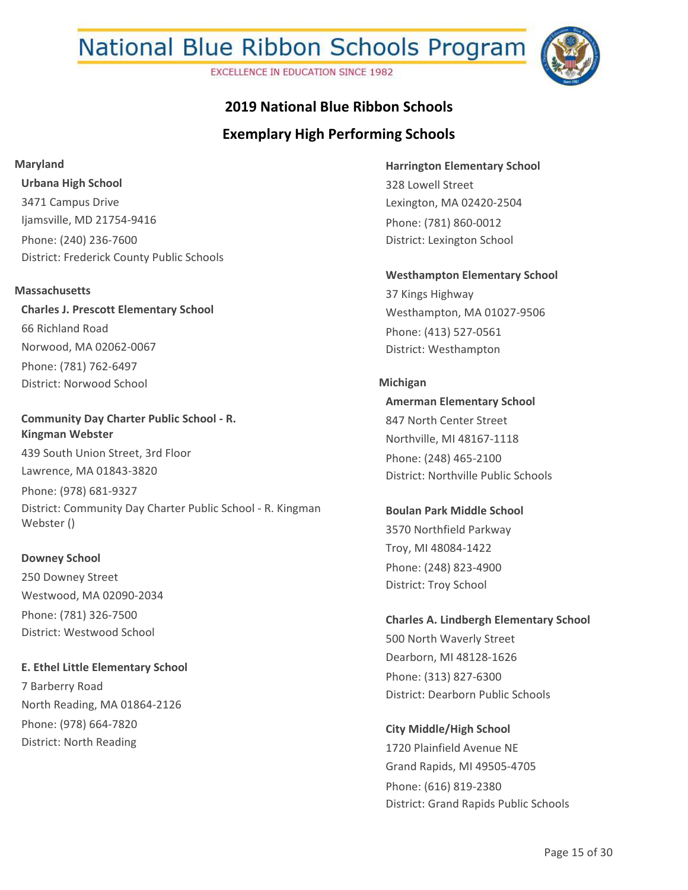**EXCELLENCE IN EDUCATION SINCE 1982** 



# **2019 National Blue Ribbon Schools**

### **Exemplary High Performing Schools**

#### **Maryland**

**Urbana High School** 3471 Campus Drive Ijamsville, MD 21754-9416 Phone: (240) 236-7600 District: Frederick County Public Schools

#### **Massachusetts**

**Charles J. Prescott Elementary School** 66 Richland Road Norwood, MA 02062-0067 Phone: (781) 762-6497 District: Norwood School

#### **Community Day Charter Public School - R. Kingman Webster**

439 South Union Street, 3rd Floor Lawrence, MA 01843-3820 Phone: (978) 681-9327 District: Community Day Charter Public School - R. Kingman Webster ()

#### **Downey School**

250 Downey Street Westwood, MA 02090-2034 Phone: (781) 326-7500 District: Westwood School

**E. Ethel Little Elementary School** 7 Barberry Road North Reading, MA 01864-2126 Phone: (978) 664-7820 District: North Reading

**Harrington Elementary School** 328 Lowell Street Lexington, MA 02420-2504 Phone: (781) 860-0012 District: Lexington School

**Westhampton Elementary School** 37 Kings Highway Westhampton, MA 01027-9506 Phone: (413) 527-0561

District: Westhampton

#### **Michigan**

**Amerman Elementary School** 847 North Center Street Northville, MI 48167-1118 Phone: (248) 465-2100 District: Northville Public Schools

**Boulan Park Middle School** 3570 Northfield Parkway Troy, MI 48084-1422 Phone: (248) 823-4900 District: Troy School

**Charles A. Lindbergh Elementary School** 500 North Waverly Street Dearborn, MI 48128-1626 Phone: (313) 827-6300 District: Dearborn Public Schools

**City Middle/High School**

1720 Plainfield Avenue NE Grand Rapids, MI 49505-4705 Phone: (616) 819-2380 District: Grand Rapids Public Schools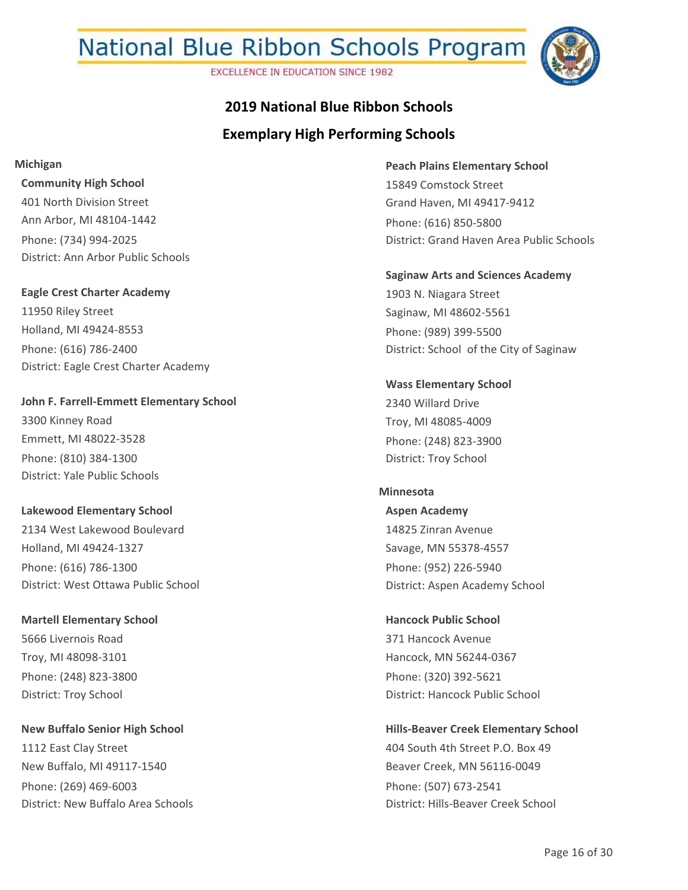**EXCELLENCE IN EDUCATION SINCE 1982** 



## **Exemplary High Performing Schools 2019 National Blue Ribbon Schools**

**Michigan**

**Community High School** 401 North Division Street Ann Arbor, MI 48104-1442 Phone: (734) 994-2025 District: Ann Arbor Public Schools

**Eagle Crest Charter Academy** 11950 Riley Street Holland, MI 49424-8553 Phone: (616) 786-2400 District: Eagle Crest Charter Academy

**John F. Farrell-Emmett Elementary School** 3300 Kinney Road Emmett, MI 48022-3528 Phone: (810) 384-1300 District: Yale Public Schools

**Lakewood Elementary School** 2134 West Lakewood Boulevard Holland, MI 49424-1327 Phone: (616) 786-1300 District: West Ottawa Public School

**Martell Elementary School** 5666 Livernois Road Troy, MI 48098-3101 Phone: (248) 823-3800 District: Troy School

**New Buffalo Senior High School** 1112 East Clay Street New Buffalo, MI 49117-1540 Phone: (269) 469-6003 District: New Buffalo Area Schools **Peach Plains Elementary School** 15849 Comstock Street Grand Haven, MI 49417-9412 Phone: (616) 850-5800 District: Grand Haven Area Public Schools

**Saginaw Arts and Sciences Academy** 1903 N. Niagara Street Saginaw, MI 48602-5561 Phone: (989) 399-5500 District: School of the City of Saginaw

**Wass Elementary School** 2340 Willard Drive Troy, MI 48085-4009 Phone: (248) 823-3900 District: Troy School

#### **Minnesota**

**Aspen Academy** 14825 Zinran Avenue Savage, MN 55378-4557 Phone: (952) 226-5940 District: Aspen Academy School

**Hancock Public School** 371 Hancock Avenue Hancock, MN 56244-0367 Phone: (320) 392-5621 District: Hancock Public School

**Hills-Beaver Creek Elementary School**

404 South 4th Street P.O. Box 49 Beaver Creek, MN 56116-0049 Phone: (507) 673-2541 District: Hills-Beaver Creek School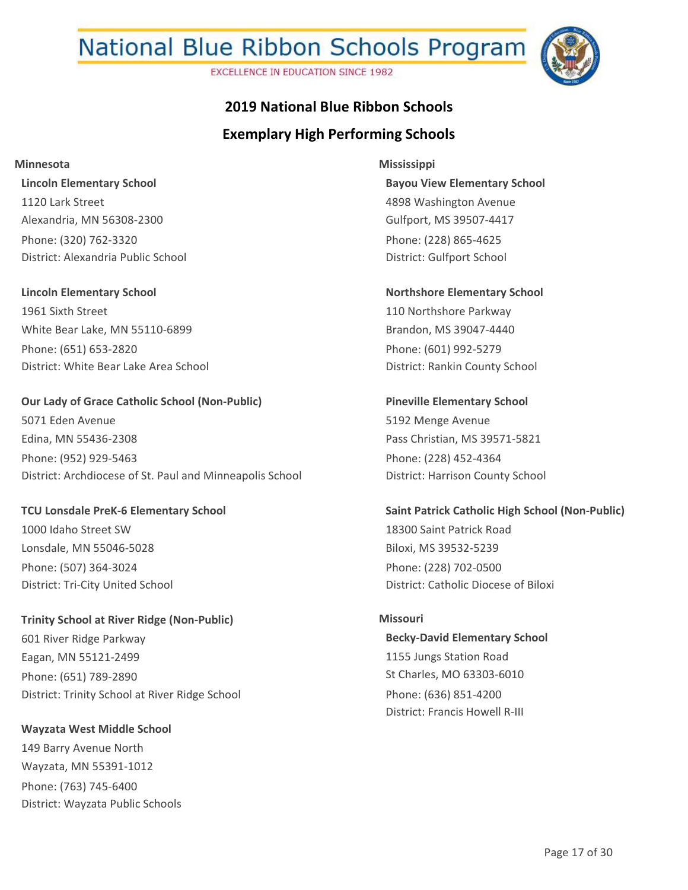**EXCELLENCE IN EDUCATION SINCE 1982** 



## **Exemplary High Performing Schools 2019 National Blue Ribbon Schools**

**Minnesota**

**Lincoln Elementary School** 1120 Lark Street Alexandria, MN 56308-2300 Phone: (320) 762-3320 District: Alexandria Public School

**Lincoln Elementary School** 1961 Sixth Street White Bear Lake, MN 55110-6899 Phone: (651) 653-2820 District: White Bear Lake Area School

**Our Lady of Grace Catholic School (Non-Public)** 5071 Eden Avenue Edina, MN 55436-2308 Phone: (952) 929-5463 District: Archdiocese of St. Paul and Minneapolis School

**TCU Lonsdale PreK-6 Elementary School** 1000 Idaho Street SW Lonsdale, MN 55046-5028 Phone: (507) 364-3024 District: Tri-City United School

**Trinity School at River Ridge (Non-Public)** 601 River Ridge Parkway Eagan, MN 55121-2499 Phone: (651) 789-2890 District: Trinity School at River Ridge School

**Wayzata West Middle School** 149 Barry Avenue North Wayzata, MN 55391-1012 Phone: (763) 745-6400 District: Wayzata Public Schools

**Bayou View Elementary School** 4898 Washington Avenue Gulfport, MS 39507-4417 Phone: (228) 865-4625 District: Gulfport School **Mississippi**

**Northshore Elementary School** 110 Northshore Parkway Brandon, MS 39047-4440 Phone: (601) 992-5279 District: Rankin County School

**Pineville Elementary School** 5192 Menge Avenue Pass Christian, MS 39571-5821 Phone: (228) 452-4364 District: Harrison County School

**Saint Patrick Catholic High School (Non-Public)** 18300 Saint Patrick Road Biloxi, MS 39532-5239 Phone: (228) 702-0500 District: Catholic Diocese of Biloxi

#### **Missouri**

**Becky-David Elementary School** 1155 Jungs Station Road St Charles, MO 63303-6010 Phone: (636) 851-4200 District: Francis Howell R-III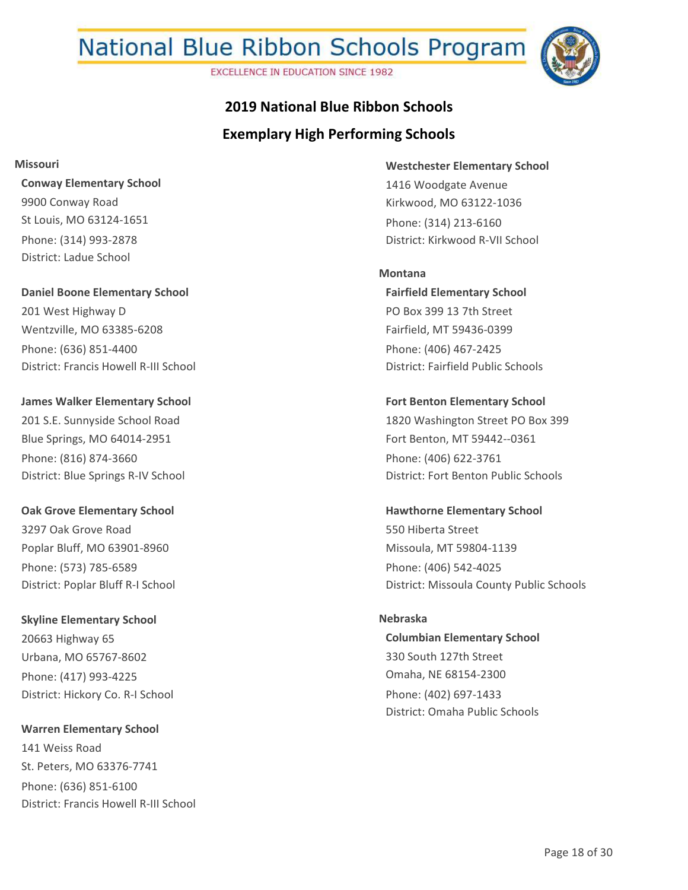**EXCELLENCE IN EDUCATION SINCE 1982** 



## **Exemplary High Performing Schools 2019 National Blue Ribbon Schools**

**Missouri**

**Conway Elementary School** 9900 Conway Road St Louis, MO 63124-1651 Phone: (314) 993-2878 District: Ladue School

**Daniel Boone Elementary School** 201 West Highway D Wentzville, MO 63385-6208 Phone: (636) 851-4400 District: Francis Howell R-III School

**James Walker Elementary School** 201 S.E. Sunnyside School Road Blue Springs, MO 64014-2951 Phone: (816) 874-3660 District: Blue Springs R-IV School

**Oak Grove Elementary School** 3297 Oak Grove Road Poplar Bluff, MO 63901-8960 Phone: (573) 785-6589 District: Poplar Bluff R-I School

**Skyline Elementary School** 20663 Highway 65 Urbana, MO 65767-8602 Phone: (417) 993-4225 District: Hickory Co. R-I School

**Warren Elementary School** 141 Weiss Road St. Peters, MO 63376-7741 Phone: (636) 851-6100 District: Francis Howell R-III School **Westchester Elementary School** 1416 Woodgate Avenue Kirkwood, MO 63122-1036 Phone: (314) 213-6160 District: Kirkwood R-VII School

**Fairfield Elementary School** PO Box 399 13 7th Street Fairfield, MT 59436-0399 Phone: (406) 467-2425 District: Fairfield Public Schools **Montana**

**Fort Benton Elementary School** 1820 Washington Street PO Box 399 Fort Benton, MT 59442--0361 Phone: (406) 622-3761 District: Fort Benton Public Schools

**Hawthorne Elementary School** 550 Hiberta Street Missoula, MT 59804-1139 Phone: (406) 542-4025 District: Missoula County Public Schools

**Columbian Elementary School** 330 South 127th Street Omaha, NE 68154-2300 Phone: (402) 697-1433 District: Omaha Public Schools **Nebraska**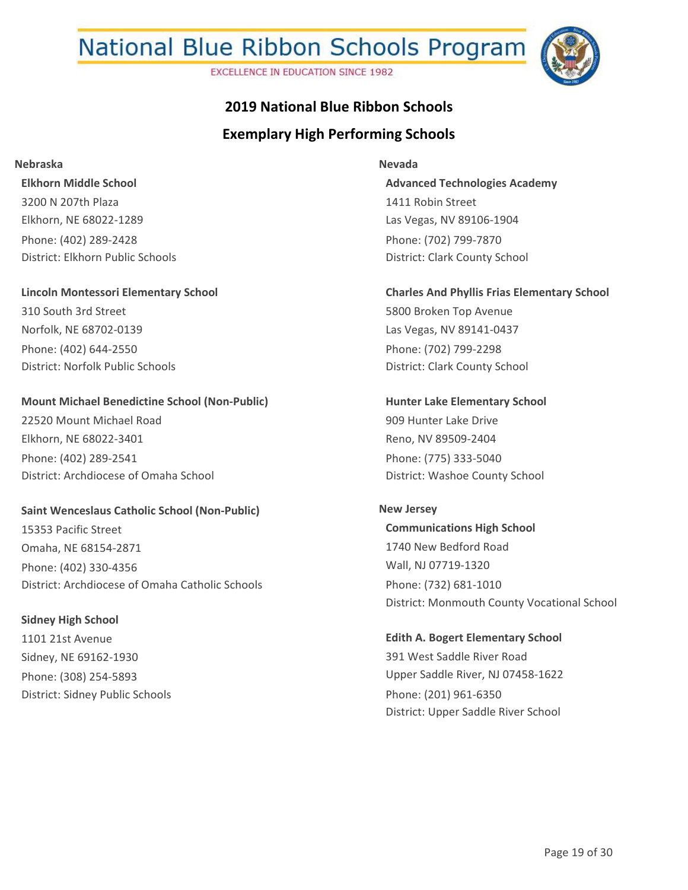**EXCELLENCE IN EDUCATION SINCE 1982** 



## **Exemplary High Performing Schools 2019 National Blue Ribbon Schools**

#### **Nebraska**

**Elkhorn Middle School** 3200 N 207th Plaza Elkhorn, NE 68022-1289 Phone: (402) 289-2428 District: Elkhorn Public Schools

#### **Lincoln Montessori Elementary School**

310 South 3rd Street Norfolk, NE 68702-0139 Phone: (402) 644-2550 District: Norfolk Public Schools

#### **Mount Michael Benedictine School (Non-Public)**

22520 Mount Michael Road Elkhorn, NE 68022-3401 Phone: (402) 289-2541 District: Archdiocese of Omaha School

#### **Saint Wenceslaus Catholic School (Non-Public)**

15353 Pacific Street Omaha, NE 68154-2871 Phone: (402) 330-4356 District: Archdiocese of Omaha Catholic Schools

#### **Sidney High School**

1101 21st Avenue Sidney, NE 69162-1930 Phone: (308) 254-5893 District: Sidney Public Schools

#### **Nevada**

**Advanced Technologies Academy** 1411 Robin Street Las Vegas, NV 89106-1904 Phone: (702) 799-7870 District: Clark County School

#### **Charles And Phyllis Frias Elementary School**

5800 Broken Top Avenue Las Vegas, NV 89141-0437 Phone: (702) 799-2298 District: Clark County School

**Hunter Lake Elementary School** 909 Hunter Lake Drive Reno, NV 89509-2404 Phone: (775) 333-5040 District: Washoe County School

#### **New Jersey**

**Communications High School** 1740 New Bedford Road Wall, NJ 07719-1320 Phone: (732) 681-1010 District: Monmouth County Vocational School

#### **Edith A. Bogert Elementary School** 391 West Saddle River Road

Upper Saddle River, NJ 07458-1622 Phone: (201) 961-6350 District: Upper Saddle River School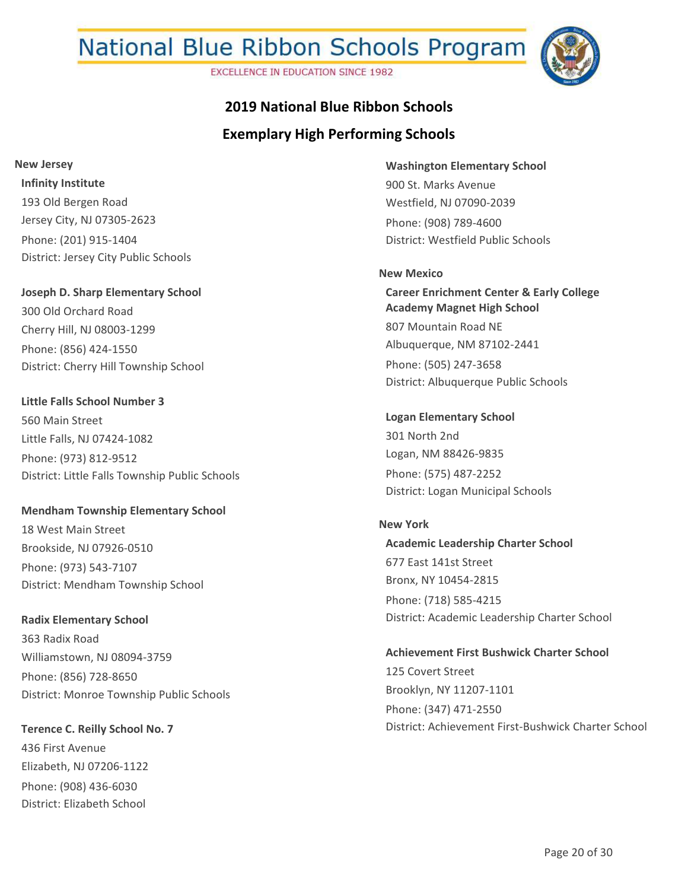**EXCELLENCE IN EDUCATION SINCE 1982** 



## **2019 National Blue Ribbon Schools**

## **Exemplary High Performing Schools**

**Infinity Institute** 193 Old Bergen Road Jersey City, NJ 07305-2623 Phone: (201) 915-1404 **New Jersey**

**Joseph D. Sharp Elementary School** 300 Old Orchard Road Cherry Hill, NJ 08003-1299 Phone: (856) 424-1550 District: Cherry Hill Township School

District: Jersey City Public Schools

**Little Falls School Number 3** 560 Main Street Little Falls, NJ 07424-1082 Phone: (973) 812-9512 District: Little Falls Township Public Schools

**Mendham Township Elementary School** 18 West Main Street Brookside, NJ 07926-0510 Phone: (973) 543-7107 District: Mendham Township School

**Radix Elementary School** 363 Radix Road Williamstown, NJ 08094-3759 Phone: (856) 728-8650 District: Monroe Township Public Schools

**Terence C. Reilly School No. 7** 436 First Avenue Elizabeth, NJ 07206-1122 Phone: (908) 436-6030 District: Elizabeth School

**Washington Elementary School** 900 St. Marks Avenue Westfield, NJ 07090-2039 Phone: (908) 789-4600 District: Westfield Public Schools

**Career Enrichment Center & Early College Academy Magnet High School** 807 Mountain Road NE Albuquerque, NM 87102-2441 Phone: (505) 247-3658 District: Albuquerque Public Schools **New Mexico**

**Logan Elementary School** 301 North 2nd Logan, NM 88426-9835 Phone: (575) 487-2252 District: Logan Municipal Schools

**Academic Leadership Charter School** 677 East 141st Street Bronx, NY 10454-2815 Phone: (718) 585-4215 District: Academic Leadership Charter School **New York**

**Achievement First Bushwick Charter School** 125 Covert Street Brooklyn, NY 11207-1101 Phone: (347) 471-2550 District: Achievement First-Bushwick Charter School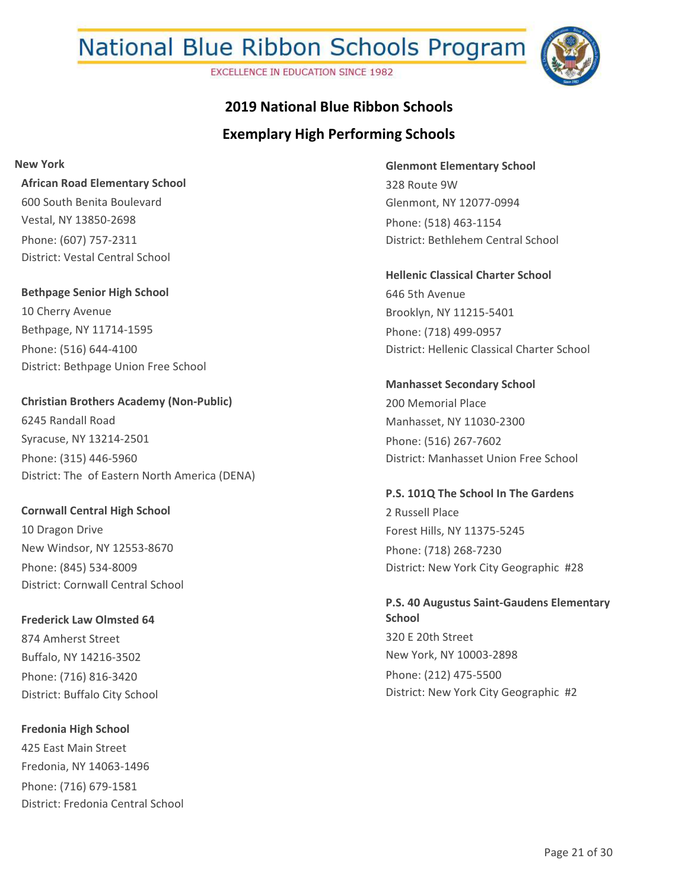**EXCELLENCE IN EDUCATION SINCE 1982** 



## **Exemplary High Performing Schools 2019 National Blue Ribbon Schools**

**New York**

**African Road Elementary School** 600 South Benita Boulevard Vestal, NY 13850-2698 Phone: (607) 757-2311 District: Vestal Central School

**Bethpage Senior High School** 10 Cherry Avenue Bethpage, NY 11714-1595 Phone: (516) 644-4100 District: Bethpage Union Free School

**Christian Brothers Academy (Non-Public)** 6245 Randall Road Syracuse, NY 13214-2501 Phone: (315) 446-5960 District: The of Eastern North America (DENA)

**Cornwall Central High School** 10 Dragon Drive New Windsor, NY 12553-8670 Phone: (845) 534-8009 District: Cornwall Central School

**Frederick Law Olmsted 64** 874 Amherst Street Buffalo, NY 14216-3502 Phone: (716) 816-3420 District: Buffalo City School

**Fredonia High School** 425 East Main Street Fredonia, NY 14063-1496 Phone: (716) 679-1581 District: Fredonia Central School **Glenmont Elementary School** 328 Route 9W Glenmont, NY 12077-0994 Phone: (518) 463-1154 District: Bethlehem Central School

**Hellenic Classical Charter School** 646 5th Avenue Brooklyn, NY 11215-5401 Phone: (718) 499-0957 District: Hellenic Classical Charter School

**Manhasset Secondary School** 200 Memorial Place Manhasset, NY 11030-2300 Phone: (516) 267-7602 District: Manhasset Union Free School

**P.S. 101Q The School In The Gardens** 2 Russell Place Forest Hills, NY 11375-5245 Phone: (718) 268-7230 District: New York City Geographic #28

**P.S. 40 Augustus Saint-Gaudens Elementary School** 320 E 20th Street New York, NY 10003-2898 Phone: (212) 475-5500 District: New York City Geographic #2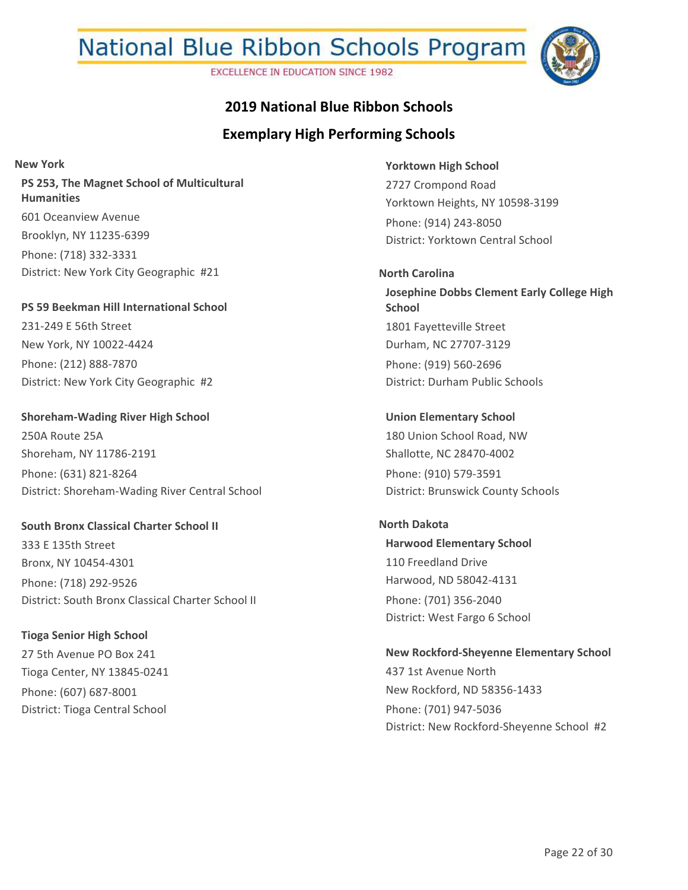**EXCELLENCE IN EDUCATION SINCE 1982** 



### **2019 National Blue Ribbon Schools**

## **Exemplary High Performing Schools**

**PS 253, The Magnet School of Multicultural Humanities** 601 Oceanview Avenue Brooklyn, NY 11235-6399 Phone: (718) 332-3331 District: New York City Geographic #21 **New York**

**PS 59 Beekman Hill International School** 231-249 E 56th Street New York, NY 10022-4424 Phone: (212) 888-7870 District: New York City Geographic #2

**Shoreham-Wading River High School** 250A Route 25A Shoreham, NY 11786-2191 Phone: (631) 821-8264 District: Shoreham-Wading River Central School

**South Bronx Classical Charter School II** 333 E 135th Street Bronx, NY 10454-4301 Phone: (718) 292-9526 District: South Bronx Classical Charter School II

**Tioga Senior High School** 27 5th Avenue PO Box 241 Tioga Center, NY 13845-0241 Phone: (607) 687-8001 District: Tioga Central School

**Yorktown High School** 2727 Crompond Road Yorktown Heights, NY 10598-3199 Phone: (914) 243-8050 District: Yorktown Central School

**Josephine Dobbs Clement Early College High School** 1801 Fayetteville Street Durham, NC 27707-3129 Phone: (919) 560-2696 District: Durham Public Schools **North Carolina**

**Union Elementary School** 180 Union School Road, NW Shallotte, NC 28470-4002 Phone: (910) 579-3591 District: Brunswick County Schools

**Harwood Elementary School** 110 Freedland Drive Harwood, ND 58042-4131 Phone: (701) 356-2040 District: West Fargo 6 School **North Dakota**

**New Rockford-Sheyenne Elementary School** 437 1st Avenue North New Rockford, ND 58356-1433 Phone: (701) 947-5036 District: New Rockford-Sheyenne School #2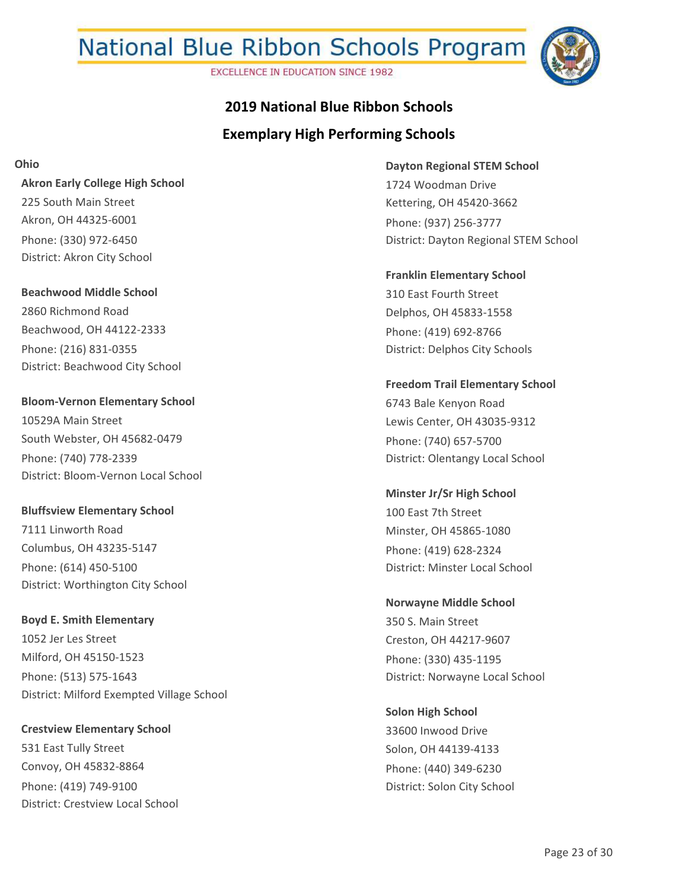**EXCELLENCE IN EDUCATION SINCE 1982** 



## **Exemplary High Performing Schools 2019 National Blue Ribbon Schools**

**Ohio**

**Akron Early College High School** 225 South Main Street Akron, OH 44325-6001 Phone: (330) 972-6450 District: Akron City School

**Beachwood Middle School** 2860 Richmond Road Beachwood, OH 44122-2333 Phone: (216) 831-0355 District: Beachwood City School

**Bloom-Vernon Elementary School** 10529A Main Street South Webster, OH 45682-0479 Phone: (740) 778-2339 District: Bloom-Vernon Local School

**Bluffsview Elementary School** 7111 Linworth Road Columbus, OH 43235-5147 Phone: (614) 450-5100 District: Worthington City School

**Boyd E. Smith Elementary** 1052 Jer Les Street Milford, OH 45150-1523 Phone: (513) 575-1643 District: Milford Exempted Village School

**Crestview Elementary School** 531 East Tully Street Convoy, OH 45832-8864 Phone: (419) 749-9100 District: Crestview Local School **Dayton Regional STEM School** 1724 Woodman Drive Kettering, OH 45420-3662 Phone: (937) 256-3777 District: Dayton Regional STEM School

**Franklin Elementary School** 310 East Fourth Street Delphos, OH 45833-1558 Phone: (419) 692-8766 District: Delphos City Schools

**Freedom Trail Elementary School** 6743 Bale Kenyon Road Lewis Center, OH 43035-9312 Phone: (740) 657-5700 District: Olentangy Local School

**Minster Jr/Sr High School** 100 East 7th Street Minster, OH 45865-1080 Phone: (419) 628-2324 District: Minster Local School

**Norwayne Middle School** 350 S. Main Street Creston, OH 44217-9607 Phone: (330) 435-1195 District: Norwayne Local School

**Solon High School** 33600 Inwood Drive Solon, OH 44139-4133 Phone: (440) 349-6230 District: Solon City School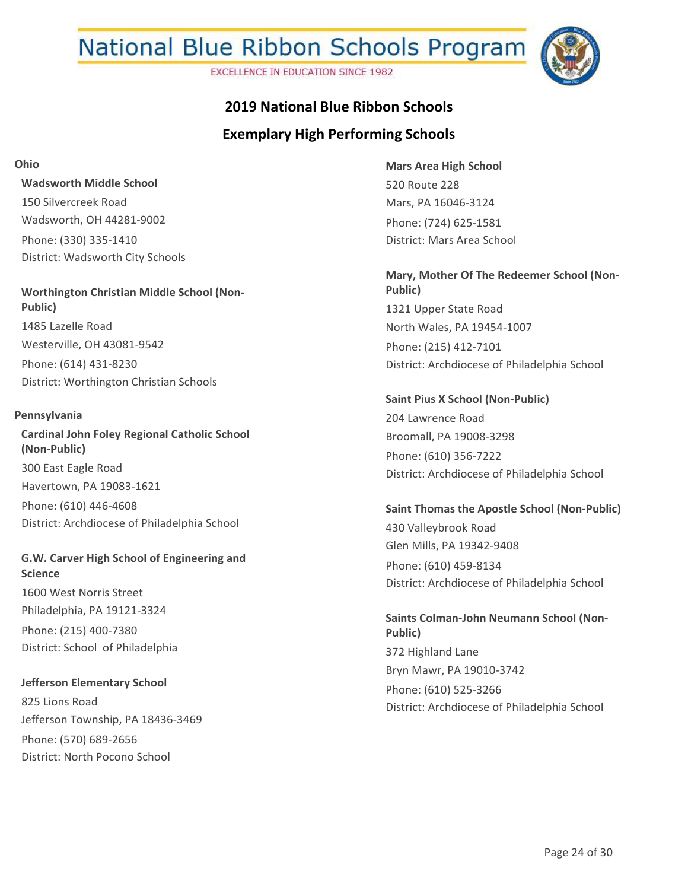**EXCELLENCE IN EDUCATION SINCE 1982** 



## **2019 National Blue Ribbon Schools**

## **Exemplary High Performing Schools**

**Ohio**

**Wadsworth Middle School** 150 Silvercreek Road Wadsworth, OH 44281-9002 Phone: (330) 335-1410 District: Wadsworth City Schools

**Worthington Christian Middle School (Non-Public)** 1485 Lazelle Road Westerville, OH 43081-9542 Phone: (614) 431-8230 District: Worthington Christian Schools

#### **Pennsylvania**

**Cardinal John Foley Regional Catholic School (Non-Public)** 300 East Eagle Road Havertown, PA 19083-1621 Phone: (610) 446-4608 District: Archdiocese of Philadelphia School

**G.W. Carver High School of Engineering and Science** 1600 West Norris Street Philadelphia, PA 19121-3324 Phone: (215) 400-7380 District: School of Philadelphia

**Jefferson Elementary School** 825 Lions Road Jefferson Township, PA 18436-3469 Phone: (570) 689-2656 District: North Pocono School

**Mars Area High School** 520 Route 228 Mars, PA 16046-3124 Phone: (724) 625-1581 District: Mars Area School

**Mary, Mother Of The Redeemer School (Non-Public)** 1321 Upper State Road North Wales, PA 19454-1007 Phone: (215) 412-7101 District: Archdiocese of Philadelphia School

**Saint Pius X School (Non-Public)** 204 Lawrence Road Broomall, PA 19008-3298 Phone: (610) 356-7222 District: Archdiocese of Philadelphia School

**Saint Thomas the Apostle School (Non-Public)** 430 Valleybrook Road Glen Mills, PA 19342-9408 Phone: (610) 459-8134 District: Archdiocese of Philadelphia School

**Saints Colman-John Neumann School (Non-Public)** 372 Highland Lane Bryn Mawr, PA 19010-3742 Phone: (610) 525-3266 District: Archdiocese of Philadelphia School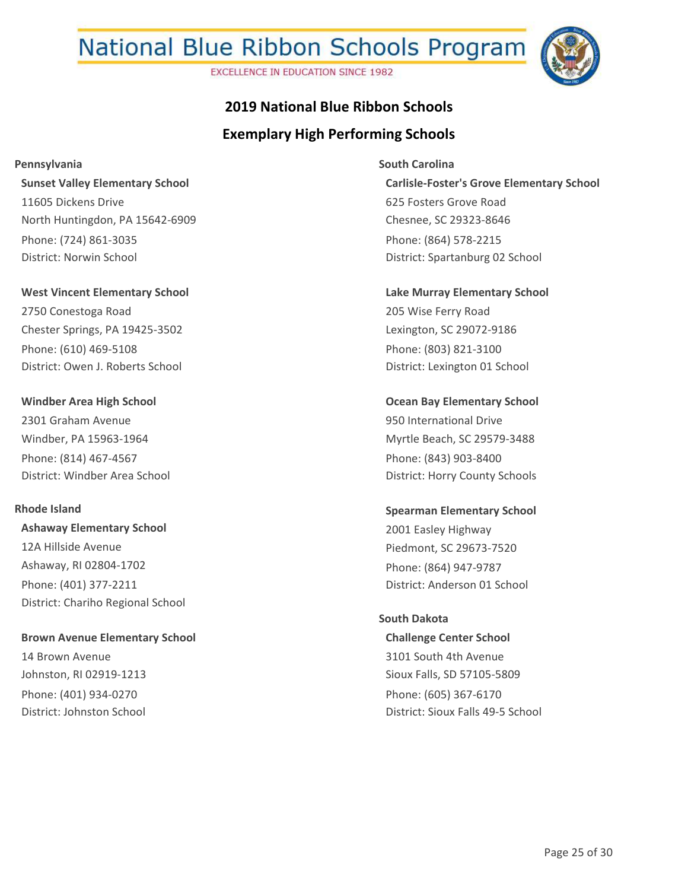**EXCELLENCE IN EDUCATION SINCE 1982** 



## **Exemplary High Performing Schools 2019 National Blue Ribbon Schools**

**Pennsylvania**

**Sunset Valley Elementary School** 11605 Dickens Drive North Huntingdon, PA 15642-6909 Phone: (724) 861-3035 District: Norwin School

**West Vincent Elementary School** 2750 Conestoga Road Chester Springs, PA 19425-3502 Phone: (610) 469-5108 District: Owen J. Roberts School

**Windber Area High School** 2301 Graham Avenue Windber, PA 15963-1964 Phone: (814) 467-4567 District: Windber Area School

#### **Rhode Island**

**Ashaway Elementary School** 12A Hillside Avenue Ashaway, RI 02804-1702 Phone: (401) 377-2211 District: Chariho Regional School

**Brown Avenue Elementary School** 14 Brown Avenue Johnston, RI 02919-1213 Phone: (401) 934-0270 District: Johnston School

**Carlisle-Foster's Grove Elementary School** 625 Fosters Grove Road Chesnee, SC 29323-8646 Phone: (864) 578-2215 District: Spartanburg 02 School **South Carolina**

**Lake Murray Elementary School** 205 Wise Ferry Road Lexington, SC 29072-9186 Phone: (803) 821-3100 District: Lexington 01 School

**Ocean Bay Elementary School** 950 International Drive Myrtle Beach, SC 29579-3488 Phone: (843) 903-8400 District: Horry County Schools

**Spearman Elementary School** 2001 Easley Highway Piedmont, SC 29673-7520 Phone: (864) 947-9787 District: Anderson 01 School

#### **South Dakota**

**Challenge Center School** 3101 South 4th Avenue Sioux Falls, SD 57105-5809 Phone: (605) 367-6170 District: Sioux Falls 49-5 School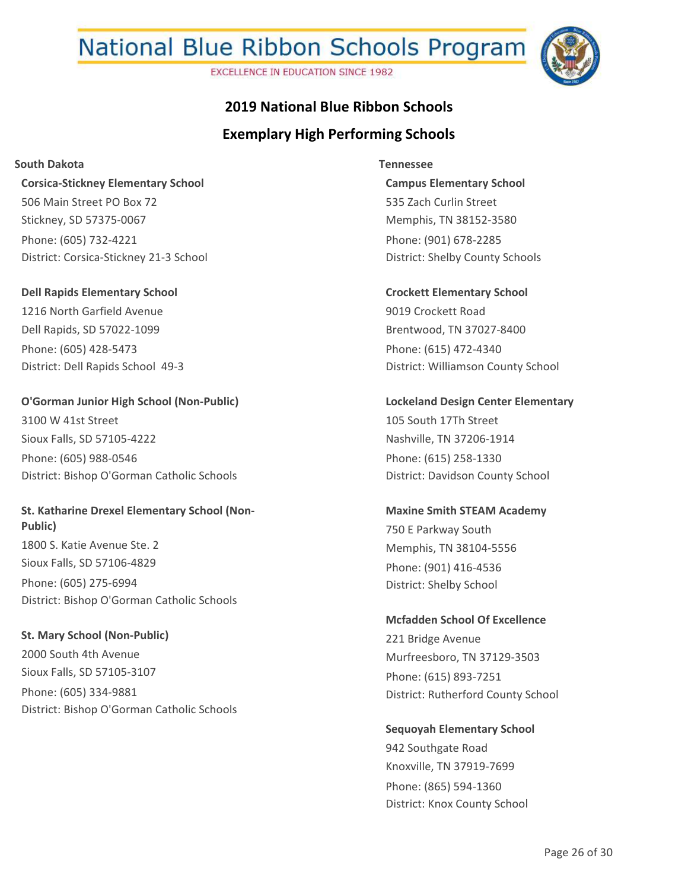**EXCELLENCE IN EDUCATION SINCE 1982** 



## **Exemplary High Performing Schools 2019 National Blue Ribbon Schools**

**South Dakota**

**Corsica-Stickney Elementary School** 506 Main Street PO Box 72 Stickney, SD 57375-0067 Phone: (605) 732-4221 District: Corsica-Stickney 21-3 School

**Dell Rapids Elementary School** 1216 North Garfield Avenue Dell Rapids, SD 57022-1099 Phone: (605) 428-5473 District: Dell Rapids School 49-3

**O'Gorman Junior High School (Non-Public)** 3100 W 41st Street Sioux Falls, SD 57105-4222 Phone: (605) 988-0546 District: Bishop O'Gorman Catholic Schools

**St. Katharine Drexel Elementary School (Non-Public)** 1800 S. Katie Avenue Ste. 2 Sioux Falls, SD 57106-4829 Phone: (605) 275-6994 District: Bishop O'Gorman Catholic Schools

**St. Mary School (Non-Public)** 2000 South 4th Avenue Sioux Falls, SD 57105-3107 Phone: (605) 334-9881 District: Bishop O'Gorman Catholic Schools

**Campus Elementary School** 535 Zach Curlin Street Memphis, TN 38152-3580 Phone: (901) 678-2285 District: Shelby County Schools **Tennessee**

**Crockett Elementary School** 9019 Crockett Road Brentwood, TN 37027-8400 Phone: (615) 472-4340 District: Williamson County School

**Lockeland Design Center Elementary** 105 South 17Th Street Nashville, TN 37206-1914 Phone: (615) 258-1330 District: Davidson County School

**Maxine Smith STEAM Academy** 750 E Parkway South Memphis, TN 38104-5556 Phone: (901) 416-4536 District: Shelby School

**Mcfadden School Of Excellence** 221 Bridge Avenue Murfreesboro, TN 37129-3503 Phone: (615) 893-7251 District: Rutherford County School

**Sequoyah Elementary School** 942 Southgate Road Knoxville, TN 37919-7699 Phone: (865) 594-1360 District: Knox County School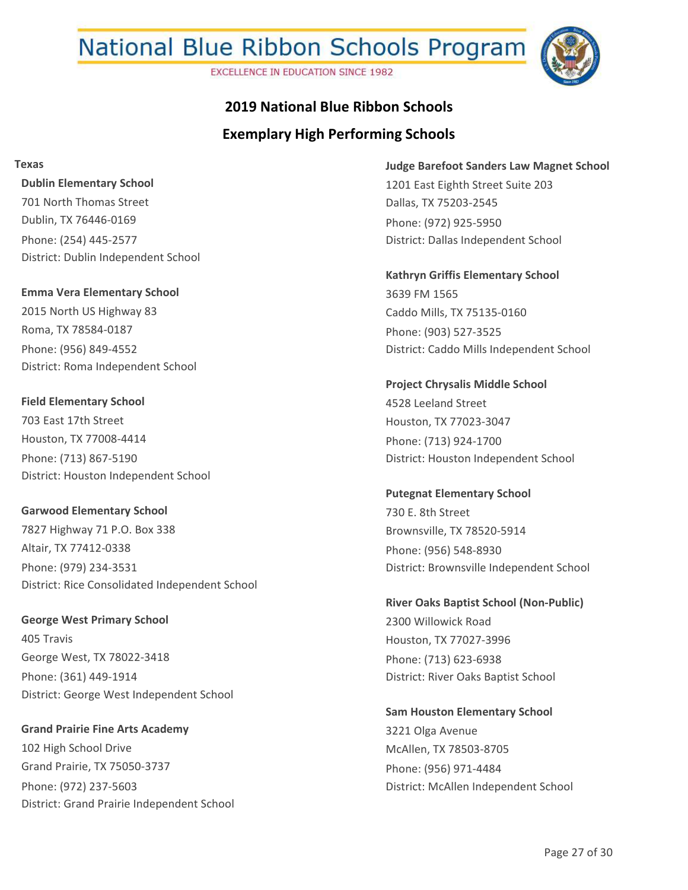**EXCELLENCE IN EDUCATION SINCE 1982** 



## **Exemplary High Performing Schools 2019 National Blue Ribbon Schools**

**Texas**

**Dublin Elementary School** 701 North Thomas Street Dublin, TX 76446-0169 Phone: (254) 445-2577 District: Dublin Independent School

**Emma Vera Elementary School** 2015 North US Highway 83 Roma, TX 78584-0187 Phone: (956) 849-4552 District: Roma Independent School

**Field Elementary School** 703 East 17th Street Houston, TX 77008-4414 Phone: (713) 867-5190 District: Houston Independent School

**Garwood Elementary School** 7827 Highway 71 P.O. Box 338 Altair, TX 77412-0338 Phone: (979) 234-3531 District: Rice Consolidated Independent School

**George West Primary School** 405 Travis George West, TX 78022-3418 Phone: (361) 449-1914 District: George West Independent School

**Grand Prairie Fine Arts Academy** 102 High School Drive Grand Prairie, TX 75050-3737 Phone: (972) 237-5603 District: Grand Prairie Independent School **Judge Barefoot Sanders Law Magnet School** 1201 East Eighth Street Suite 203 Dallas, TX 75203-2545 Phone: (972) 925-5950 District: Dallas Independent School

**Kathryn Griffis Elementary School** 3639 FM 1565 Caddo Mills, TX 75135-0160 Phone: (903) 527-3525 District: Caddo Mills Independent School

**Project Chrysalis Middle School** 4528 Leeland Street Houston, TX 77023-3047 Phone: (713) 924-1700 District: Houston Independent School

**Putegnat Elementary School** 730 E. 8th Street Brownsville, TX 78520-5914 Phone: (956) 548-8930 District: Brownsville Independent School

**River Oaks Baptist School (Non-Public)** 2300 Willowick Road Houston, TX 77027-3996 Phone: (713) 623-6938 District: River Oaks Baptist School

**Sam Houston Elementary School** 3221 Olga Avenue McAllen, TX 78503-8705 Phone: (956) 971-4484 District: McAllen Independent School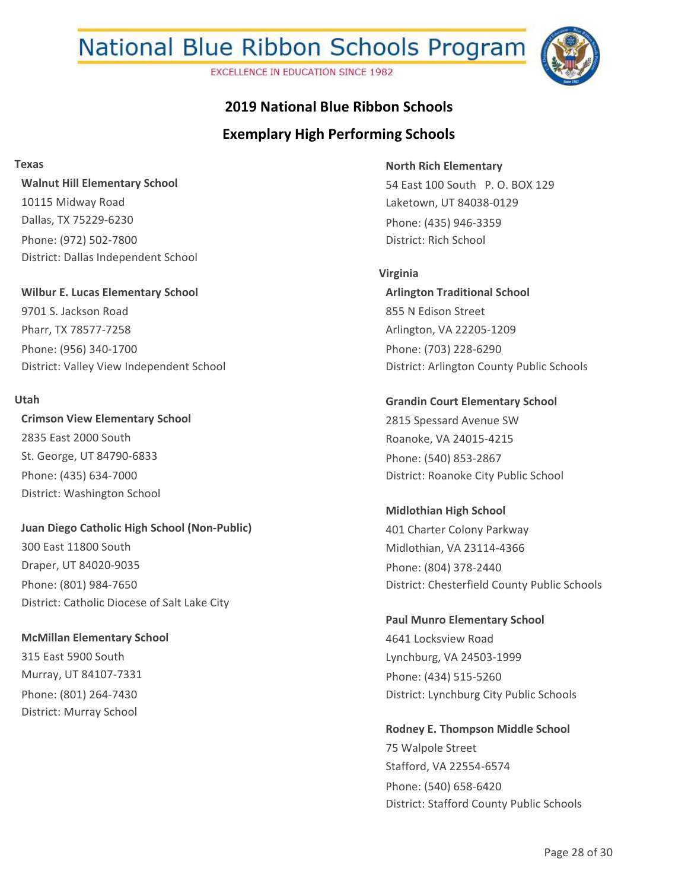**EXCELLENCE IN EDUCATION SINCE 1982** 



## **Exemplary High Performing Schools 2019 National Blue Ribbon Schools**

**Texas**

**Walnut Hill Elementary School** 10115 Midway Road Dallas, TX 75229-6230 Phone: (972) 502-7800 District: Dallas Independent School

**Wilbur E. Lucas Elementary School** 9701 S. Jackson Road Pharr, TX 78577-7258 Phone: (956) 340-1700 District: Valley View Independent School

#### **Utah**

**Crimson View Elementary School** 2835 East 2000 South St. George, UT 84790-6833 Phone: (435) 634-7000 District: Washington School

**Juan Diego Catholic High School (Non-Public)** 300 East 11800 South Draper, UT 84020-9035 Phone: (801) 984-7650 District: Catholic Diocese of Salt Lake City

**McMillan Elementary School** 315 East 5900 South Murray, UT 84107-7331 Phone: (801) 264-7430 District: Murray School

**North Rich Elementary** 54 East 100 South P. O. BOX 129 Laketown, UT 84038-0129 Phone: (435) 946-3359 District: Rich School

**Arlington Traditional School** 855 N Edison Street Arlington, VA 22205-1209 Phone: (703) 228-6290 District: Arlington County Public Schools **Virginia**

**Grandin Court Elementary School** 2815 Spessard Avenue SW Roanoke, VA 24015-4215 Phone: (540) 853-2867 District: Roanoke City Public School

**Midlothian High School** 401 Charter Colony Parkway Midlothian, VA 23114-4366 Phone: (804) 378-2440 District: Chesterfield County Public Schools

**Paul Munro Elementary School** 4641 Locksview Road Lynchburg, VA 24503-1999 Phone: (434) 515-5260 District: Lynchburg City Public Schools

**Rodney E. Thompson Middle School** 75 Walpole Street Stafford, VA 22554-6574 Phone: (540) 658-6420 District: Stafford County Public Schools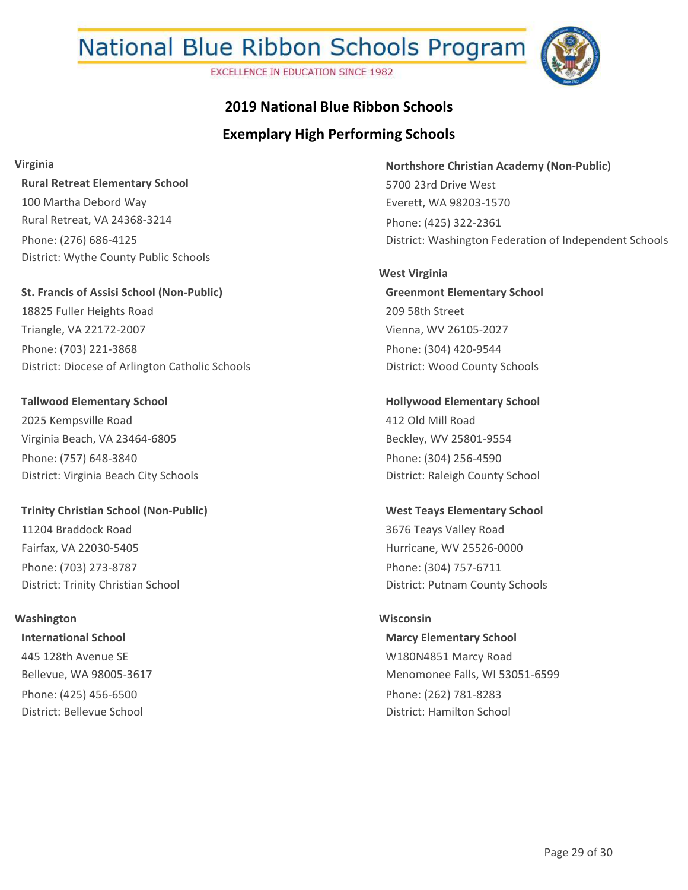**EXCELLENCE IN EDUCATION SINCE 1982** 



### **2019 National Blue Ribbon Schools**

### **Exemplary High Performing Schools**

**Virginia**

**Rural Retreat Elementary School** 100 Martha Debord Way Rural Retreat, VA 24368-3214 Phone: (276) 686-4125 District: Wythe County Public Schools

**St. Francis of Assisi School (Non-Public)** 18825 Fuller Heights Road Triangle, VA 22172-2007 Phone: (703) 221-3868 District: Diocese of Arlington Catholic Schools

**Tallwood Elementary School** 2025 Kempsville Road Virginia Beach, VA 23464-6805 Phone: (757) 648-3840 District: Virginia Beach City Schools

**Trinity Christian School (Non-Public)** 11204 Braddock Road Fairfax, VA 22030-5405 Phone: (703) 273-8787 District: Trinity Christian School

#### **Washington**

**International School** 445 128th Avenue SE Bellevue, WA 98005-3617 Phone: (425) 456-6500 District: Bellevue School

**Northshore Christian Academy (Non-Public)** 5700 23rd Drive West Everett, WA 98203-1570 Phone: (425) 322-2361 District: Washington Federation of Independent Schools

**Greenmont Elementary School** 209 58th Street Vienna, WV 26105-2027 Phone: (304) 420-9544 District: Wood County Schools **West Virginia**

**Hollywood Elementary School** 412 Old Mill Road Beckley, WV 25801-9554 Phone: (304) 256-4590 District: Raleigh County School

**West Teays Elementary School** 3676 Teays Valley Road Hurricane, WV 25526-0000 Phone: (304) 757-6711 District: Putnam County Schools

#### **Wisconsin**

**Marcy Elementary School** W180N4851 Marcy Road Menomonee Falls, WI 53051-6599 Phone: (262) 781-8283 District: Hamilton School